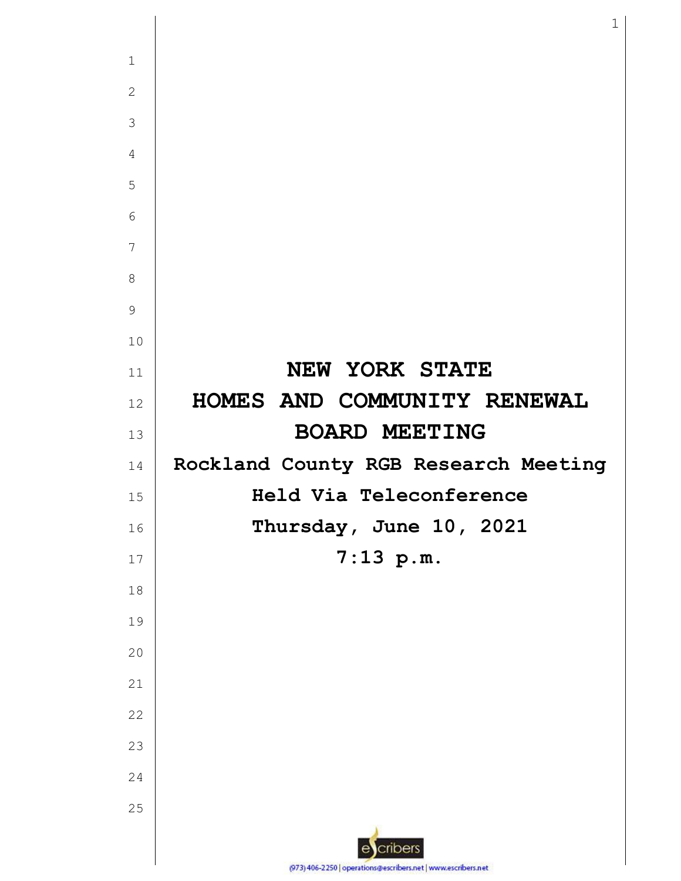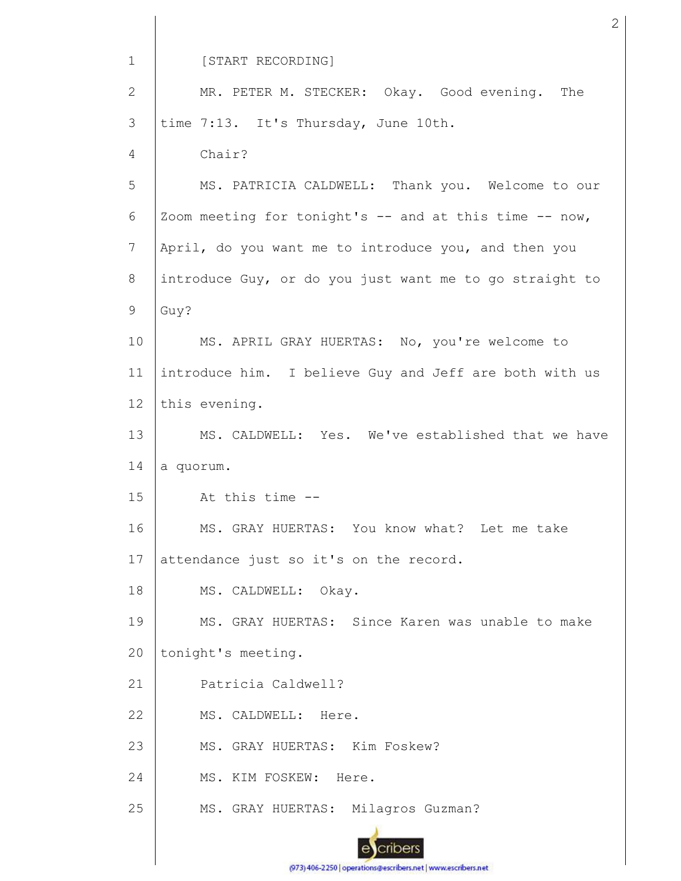1 [START RECORDING] MR. PETER M. STECKER: Okay. Good evening. The 2 time 7:13. It's Thursday, June 10th. 3 Chair? 4 5 MS. PATRICIA CALDWELL: Thank you. Welcome to our 6 Zoom meeting for tonight's  $--$  and at this time  $--$  now, 7 April, do you want me to introduce you, and then you introduce Guy, or do you just want me to go straight to 8 9 Guy? 10 MS. APRIL GRAY HUERTAS: No, you're welcome to 11 introduce him. I believe Guy and Jeff are both with us 12 this evening. 13 MS. CALDWELL: Yes. We've established that we have 14 a quorum. 15 At this time -- MS. GRAY HUERTAS: You know what? Let me take 16 17 attendance just so it's on the record. 18 MS. CALDWELL: Okay. 19 MS. GRAY HUERTAS: Since Karen was unable to make 20 tonight's meeting. 21 Patricia Caldwell? 22 MS. CALDWELL: Here. 23 MS. GRAY HUERTAS: Kim Foskew? 24 MS. KIM FOSKEW: Here. 25 MS. GRAY HUERTAS: Milagros Guzman?cribers

(973) 406-2250 | operations@escribers.net | www.escribers.net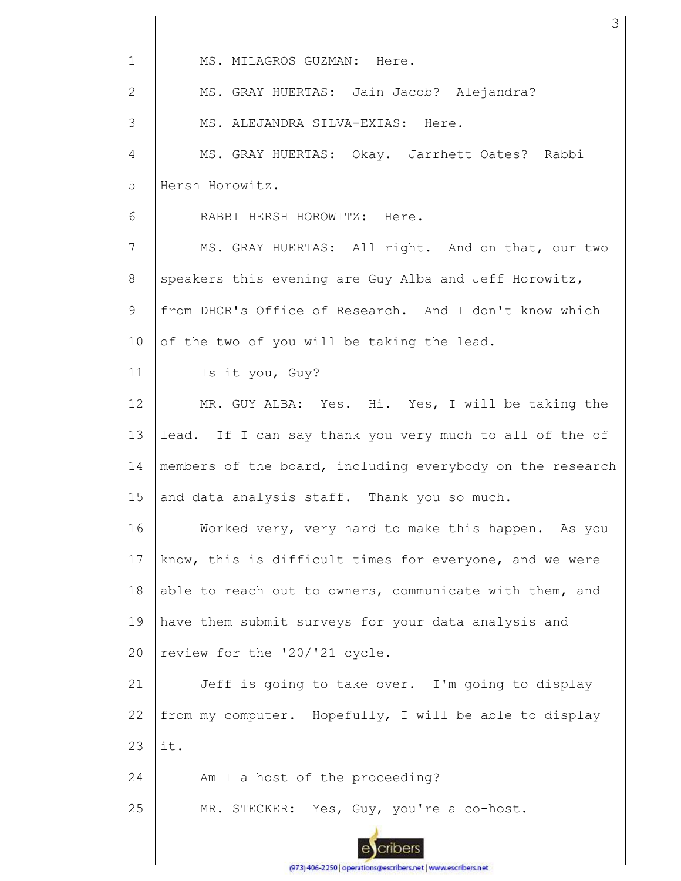| $\mathbf{1}$ | MS. MILAGROS GUZMAN: Here.                                |  |  |  |  |  |
|--------------|-----------------------------------------------------------|--|--|--|--|--|
| $\mathbf{2}$ | MS. GRAY HUERTAS: Jain Jacob? Alejandra?                  |  |  |  |  |  |
| 3            | MS. ALEJANDRA SILVA-EXIAS: Here.                          |  |  |  |  |  |
| 4            | MS. GRAY HUERTAS: Okay. Jarrhett Oates? Rabbi             |  |  |  |  |  |
| 5            | Hersh Horowitz.                                           |  |  |  |  |  |
| 6            | RABBI HERSH HOROWITZ: Here.                               |  |  |  |  |  |
| 7            | MS. GRAY HUERTAS: All right. And on that, our two         |  |  |  |  |  |
| 8            | speakers this evening are Guy Alba and Jeff Horowitz,     |  |  |  |  |  |
| 9            | from DHCR's Office of Research. And I don't know which    |  |  |  |  |  |
| 10           | of the two of you will be taking the lead.                |  |  |  |  |  |
| 11           | Is it you, Guy?                                           |  |  |  |  |  |
| 12           | MR. GUY ALBA: Yes. Hi. Yes, I will be taking the          |  |  |  |  |  |
| 13           | lead. If I can say thank you very much to all of the of   |  |  |  |  |  |
| 14           | members of the board, including everybody on the research |  |  |  |  |  |
| 15           | and data analysis staff. Thank you so much.               |  |  |  |  |  |
| 16           | Worked very, very hard to make this happen. As you        |  |  |  |  |  |
| 17           | know, this is difficult times for everyone, and we were   |  |  |  |  |  |
| 18           | able to reach out to owners, communicate with them, and   |  |  |  |  |  |
| 19           | have them submit surveys for your data analysis and       |  |  |  |  |  |
| 20           | review for the '20/'21 cycle.                             |  |  |  |  |  |
| 21           | Jeff is going to take over. I'm going to display          |  |  |  |  |  |
| 22           | from my computer. Hopefully, I will be able to display    |  |  |  |  |  |
| 23           | it.                                                       |  |  |  |  |  |
| 24           | Am I a host of the proceeding?                            |  |  |  |  |  |
| 25           | MR. STECKER: Yes, Guy, you're a co-host.                  |  |  |  |  |  |
|              |                                                           |  |  |  |  |  |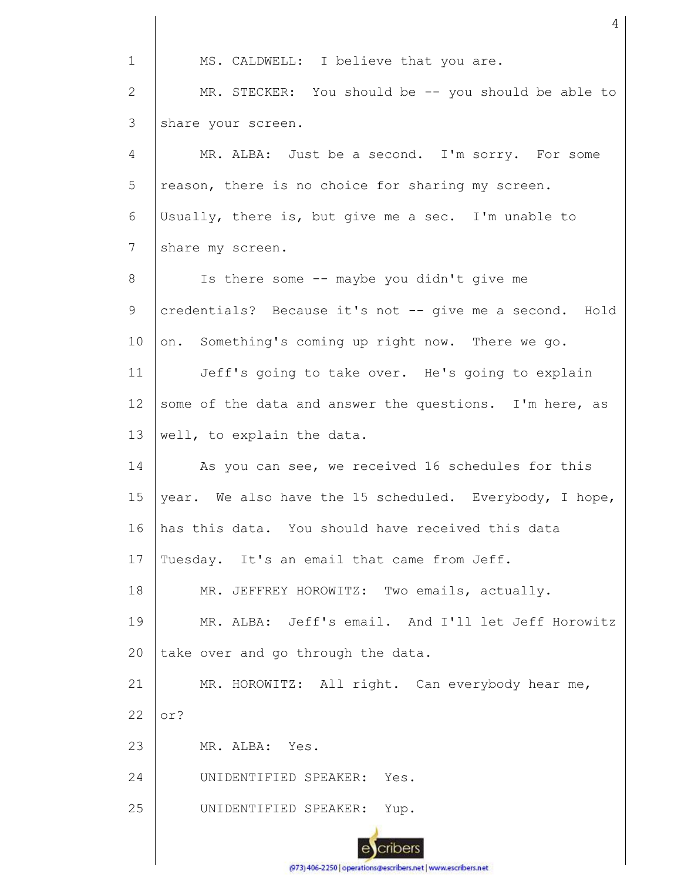1 MS. CALDWELL: I believe that you are. MR. STECKER: You should be -- you should be able to 2 3 share your screen. 4 MR. ALBA: Just be a second. I'm sorry. For some 5 reason, there is no choice for sharing my screen. 6 Usually, there is, but give me a sec. I'm unable to 7 share my screen. Is there some -- maybe you didn't give me 8 9 credentials? Because it's not -- give me a second. Hold 10 on. Something's coming up right now. There we go. 11 Jeff's going to take over. He's going to explain 12 some of the data and answer the questions. I'm here, as 13 well, to explain the data. As you can see, we received 16 schedules for this 14 15 year. We also have the 15 scheduled. Everybody, I hope, has this data. You should have received this data 16 17 Tuesday. It's an email that came from Jeff. 18 MR. JEFFREY HOROWITZ: Two emails, actually. 19 MR. ALBA: Jeff's email. And I'll let Jeff Horowitz take over and go through the data. 20 21 MR. HOROWITZ: All right. Can everybody hear me, 22 or? 23 MR. ALBA: Yes. 24 UNIDENTIFIED SPEAKER: Yes. 25 UNIDENTIFIED SPEAKER: Yup. cribers

4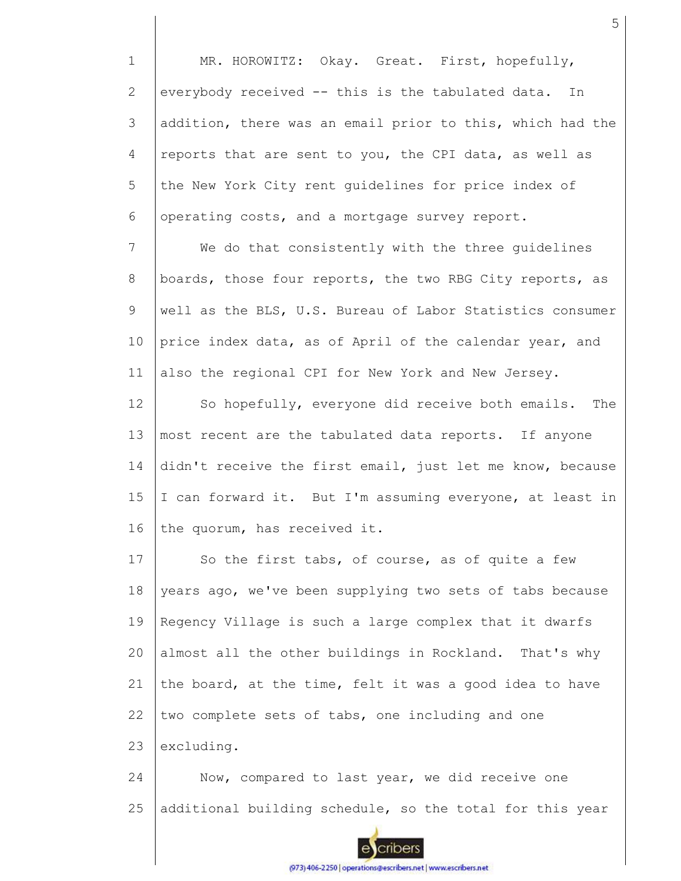1 2 3 4 5 6 MR. HOROWITZ: Okay. Great. First, hopefully, everybody received -- this is the tabulated data. In addition, there was an email prior to this, which had the reports that are sent to you, the CPI data, as well as the New York City rent guidelines for price index of operating costs, and a mortgage survey report.

7 8 9 10 11 We do that consistently with the three guidelines boards, those four reports, the two RBG City reports, as well as the BLS, U.S. Bureau of Labor Statistics consumer price index data, as of April of the calendar year, and also the regional CPI for New York and New Jersey.

12 13 14 15 16 So hopefully, everyone did receive both emails. The most recent are the tabulated data reports. If anyone didn't receive the first email, just let me know, because I can forward it. But I'm assuming everyone, at least in the quorum, has received it.

17 18 19  $20$ 21 22 23 So the first tabs, of course, as of quite a few years ago, we've been supplying two sets of tabs because Regency Village is such a large complex that it dwarfs almost all the other buildings in Rockland. That's why the board, at the time, felt it was a good idea to have two complete sets of tabs, one including and one excluding.

24 25 Now, compared to last year, we did receive one additional building schedule, so the total for this year

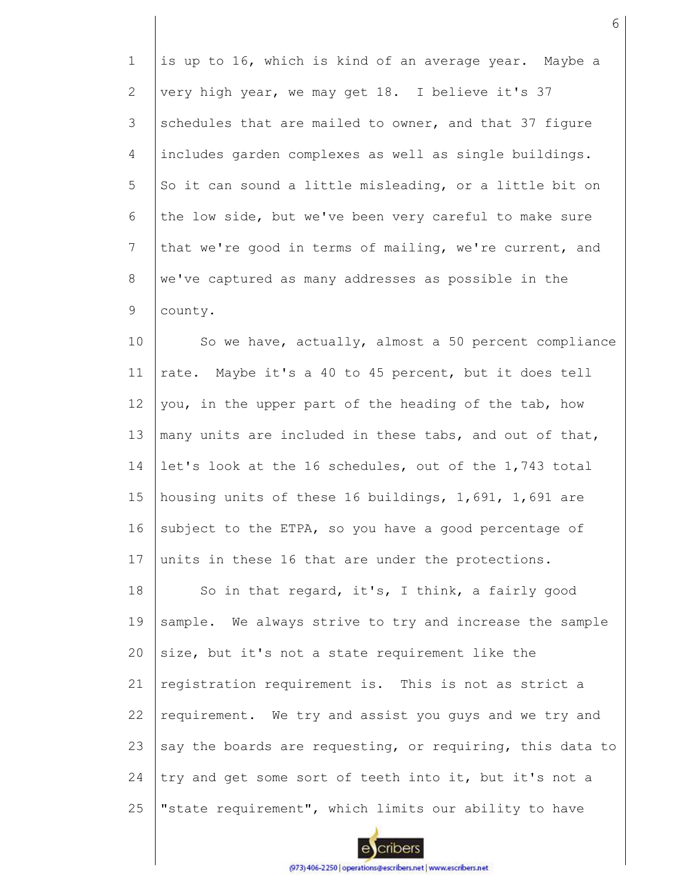1 2 3 4 5 6 7 8 9 10 is up to 16, which is kind of an average year. Maybe a very high year, we may get 18. I believe it's 37 schedules that are mailed to owner, and that 37 figure includes garden complexes as well as single buildings. So it can sound a little misleading, or a little bit on the low side, but we've been very careful to make sure that we're good in terms of mailing, we're current, and we've captured as many addresses as possible in the county. So we have, actually, almost a 50 percent compliance

11 12 13 14 15 16 17 rate. Maybe it's a 40 to 45 percent, but it does tell you, in the upper part of the heading of the tab, how many units are included in these tabs, and out of that, let's look at the 16 schedules, out of the 1,743 total housing units of these 16 buildings, 1,691, 1,691 are subject to the ETPA, so you have a good percentage of units in these 16 that are under the protections.

18 19 20 21 22 23 24 25 So in that regard, it's, I think, a fairly good sample. We always strive to try and increase the sample size, but it's not a state requirement like the registration requirement is. This is not as strict a requirement. We try and assist you guys and we try and say the boards are requesting, or requiring, this data to try and get some sort of teeth into it, but it's not a "state requirement", which limits our ability to have

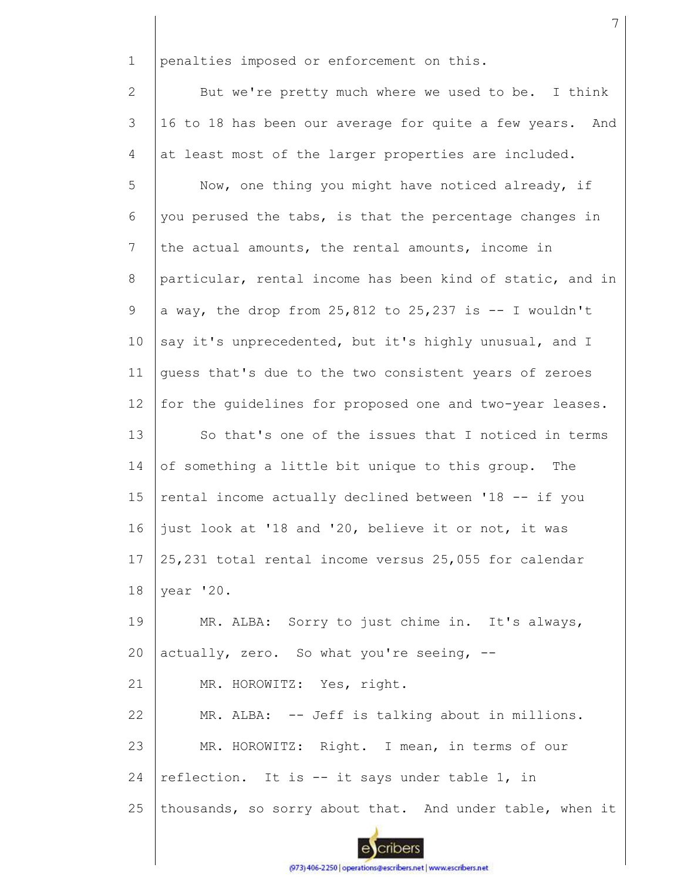1 penalties imposed or enforcement on this.

2 3 4 But we're pretty much where we used to be. I think 16 to 18 has been our average for quite a few years. And at least most of the larger properties are included.

5 6 7 8 9 10 11 12 13 14 15 16 17 18 Now, one thing you might have noticed already, if you perused the tabs, is that the percentage changes in the actual amounts, the rental amounts, income in particular, rental income has been kind of static, and in a way, the drop from  $25,812$  to  $25,237$  is  $-1$  wouldn't say it's unprecedented, but it's highly unusual, and I guess that's due to the two consistent years of zeroes for the guidelines for proposed one and two-year leases. So that's one of the issues that I noticed in terms of something a little bit unique to this group. The rental income actually declined between '18 -- if you just look at '18 and '20, believe it or not, it was 25,231 total rental income versus 25,055 for calendar year '20.

19 20 MR. ALBA: Sorry to just chime in. It's always, actually, zero. So what you're seeing, --

21 MR. HOROWITZ: Yes, right.

22 23 24 25 MR. ALBA: -- Jeff is talking about in millions. MR. HOROWITZ: Right. I mean, in terms of our reflection. It is -- it says under table 1, in thousands, so sorry about that. And under table, when it



cribers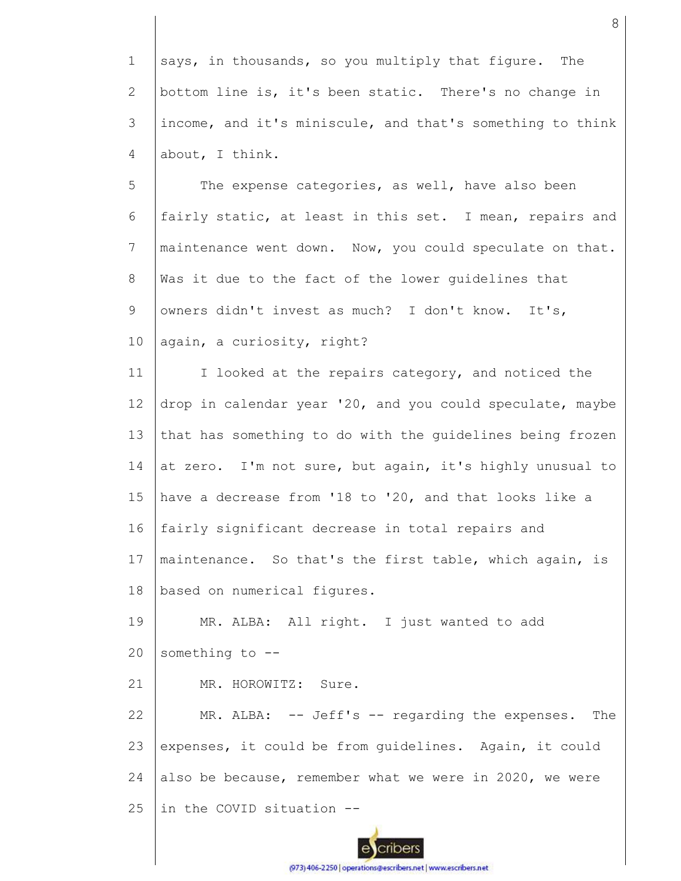1 2 3 4 says, in thousands, so you multiply that figure. The bottom line is, it's been static. There's no change in income, and it's miniscule, and that's something to think about, I think.

5 6 7 8 9 10 The expense categories, as well, have also been fairly static, at least in this set. I mean, repairs and maintenance went down. Now, you could speculate on that. Was it due to the fact of the lower guidelines that owners didn't invest as much? I don't know. It's, again, a curiosity, right?

11 12 13 14 15 16 17 18 I looked at the repairs category, and noticed the drop in calendar year '20, and you could speculate, maybe that has something to do with the guidelines being frozen at zero. I'm not sure, but again, it's highly unusual to have a decrease from '18 to '20, and that looks like a fairly significant decrease in total repairs and maintenance. So that's the first table, which again, is based on numerical figures.

19 20 MR. ALBA: All right. I just wanted to add something to --

21 MR. HOROWITZ: Sure.

22 23 24 25 MR. ALBA: -- Jeff's -- regarding the expenses. The expenses, it could be from guidelines. Again, it could also be because, remember what we were in 2020, we were in the COVID situation --

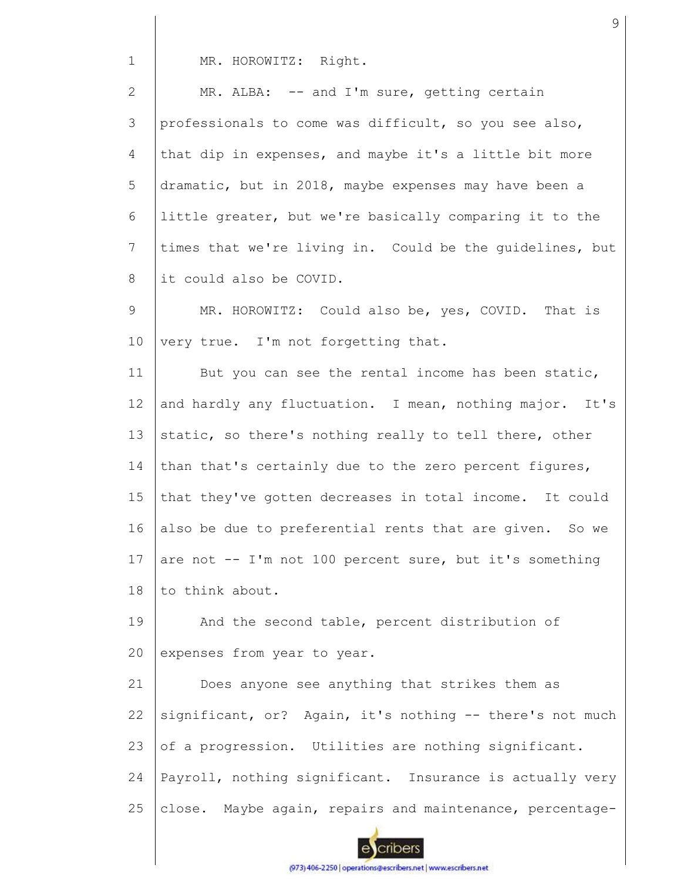1 MR. HOROWITZ: Right.

| $\overline{2}$ | MR. ALBA: -- and I'm sure, getting certain                |
|----------------|-----------------------------------------------------------|
| 3              | professionals to come was difficult, so you see also,     |
| 4              | that dip in expenses, and maybe it's a little bit more    |
| 5              | dramatic, but in 2018, maybe expenses may have been a     |
| 6              | little greater, but we're basically comparing it to the   |
| $7\phantom{.}$ | times that we're living in. Could be the guidelines, but  |
| 8              | it could also be COVID.                                   |
| 9              | MR. HOROWITZ: Could also be, yes, COVID. That is          |
| 10             | very true. I'm not forgetting that.                       |
| 11             | But you can see the rental income has been static,        |
| 12             | and hardly any fluctuation. I mean, nothing major. It's   |
| 13             | static, so there's nothing really to tell there, other    |
| 14             | than that's certainly due to the zero percent figures,    |
| 15             | that they've gotten decreases in total income. It could   |
| 16             | also be due to preferential rents that are given. So we   |
| 17             | are not $--$ I'm not 100 percent sure, but it's something |
| 18             | to think about.                                           |
| 19             | And the second table, percent distribution of             |
| 20             | expenses from year to year.                               |
| 21             | Does anyone see anything that strikes them as             |
| 22             | significant, or? Again, it's nothing -- there's not much  |
| 23             | of a progression. Utilities are nothing significant.      |
| 24             | Payroll, nothing significant. Insurance is actually very  |
| 25             | close. Maybe again, repairs and maintenance, percentage-  |
|                |                                                           |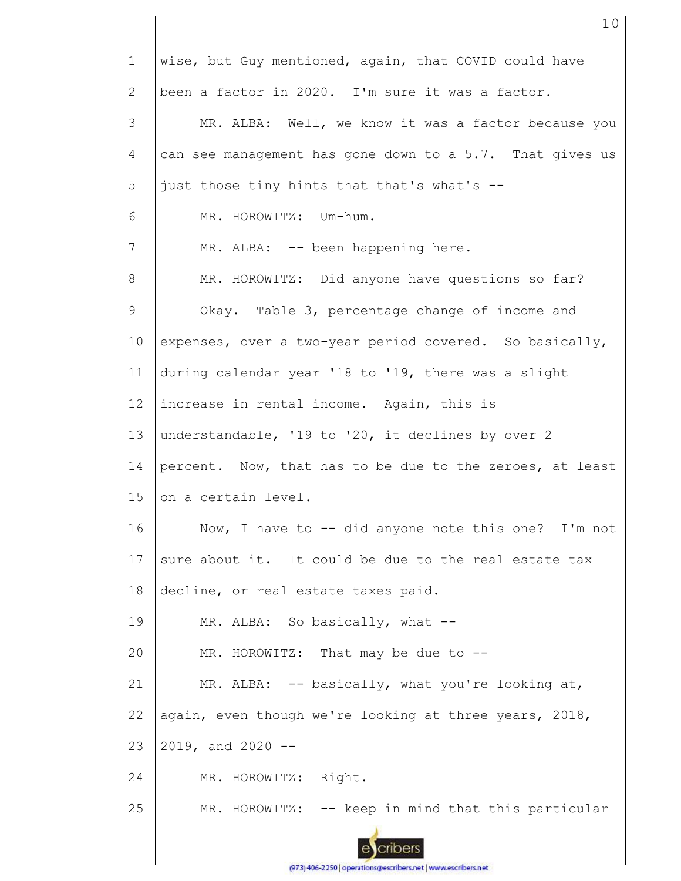| $\mathbf{1}$ | wise, but Guy mentioned, again, that COVID could have    |  |  |  |  |  |
|--------------|----------------------------------------------------------|--|--|--|--|--|
| 2            | been a factor in 2020. I'm sure it was a factor.         |  |  |  |  |  |
| 3            | MR. ALBA: Well, we know it was a factor because you      |  |  |  |  |  |
| 4            | can see management has gone down to a 5.7. That gives us |  |  |  |  |  |
| 5            | just those tiny hints that that's what's --              |  |  |  |  |  |
| 6            | MR. HOROWITZ: Um-hum.                                    |  |  |  |  |  |
| 7            | MR. ALBA: -- been happening here.                        |  |  |  |  |  |
| 8            | MR. HOROWITZ: Did anyone have questions so far?          |  |  |  |  |  |
| 9            | Okay. Table 3, percentage change of income and           |  |  |  |  |  |
| 10           | expenses, over a two-year period covered. So basically,  |  |  |  |  |  |
| 11           | during calendar year '18 to '19, there was a slight      |  |  |  |  |  |
| 12           | increase in rental income. Again, this is                |  |  |  |  |  |
| 13           | understandable, '19 to '20, it declines by over 2        |  |  |  |  |  |
| 14           | percent. Now, that has to be due to the zeroes, at least |  |  |  |  |  |
| 15           | on a certain level.                                      |  |  |  |  |  |
| 16           | Now, I have to $-$ - did anyone note this one? I'm not   |  |  |  |  |  |
| 17           | sure about it. It could be due to the real estate tax    |  |  |  |  |  |
| 18           | decline, or real estate taxes paid.                      |  |  |  |  |  |
| 19           | MR. ALBA: So basically, what --                          |  |  |  |  |  |
| 20           | MR. HOROWITZ: That may be due to --                      |  |  |  |  |  |
| 21           | MR. ALBA: -- basically, what you're looking at,          |  |  |  |  |  |
| 22           | again, even though we're looking at three years, 2018,   |  |  |  |  |  |
| 23           | $2019$ , and $2020 - -$                                  |  |  |  |  |  |
| 24           | MR. HOROWITZ: Right.                                     |  |  |  |  |  |
| 25           | MR. HOROWITZ: -- keep in mind that this particular       |  |  |  |  |  |

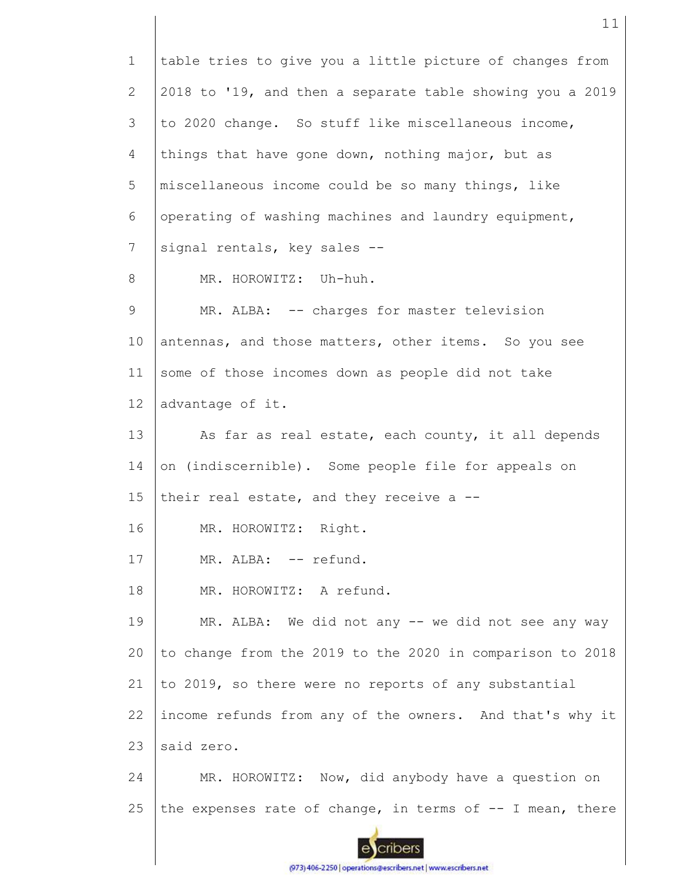1 table tries to give you a little picture of changes from 2 2018 to '19, and then a separate table showing you a 2019 3 to 2020 change. So stuff like miscellaneous income, 4 things that have gone down, nothing major, but as 5 miscellaneous income could be so many things, like 6 operating of washing machines and laundry equipment, 7 signal rentals, key sales -- 8 MR. HOROWITZ: Uh-huh. 9 MR. ALBA: -- charges for master television 10 antennas, and those matters, other items. So you see some of those incomes down as people did not take 11 12 advantage of it. 13 As far as real estate, each county, it all depends 14 on (indiscernible). Some people file for appeals on 15 their real estate, and they receive a -- 16 MR. HOROWITZ: Right. 17 MR. ALBA: -- refund. 18 MR. HOROWITZ: A refund. 19 MR. ALBA: We did not any -- we did not see any way to change from the 2019 to the 2020 in comparison to 2018 20 21 to 2019, so there were no reports of any substantial 22 income refunds from any of the owners. And that's why it 23 said zero. 24 MR. HOROWITZ: Now, did anybody have a question on 25 the expenses rate of change, in terms of  $-$ - I mean, there cribers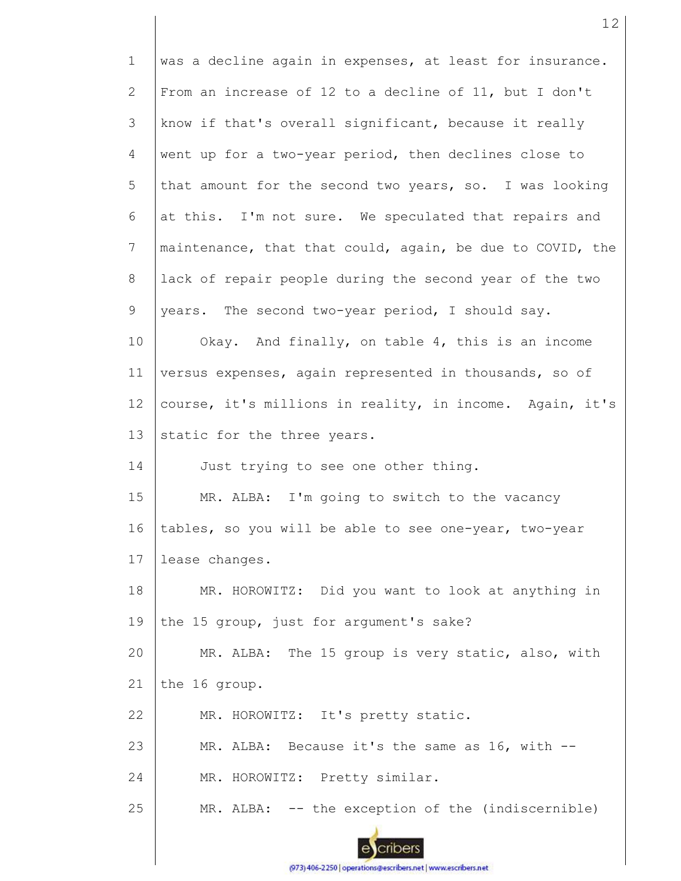1 2 3 4 5 6 7 8 9 10 11 12 13 14 15 16 17 18 19 20 21 22 23 24 25 was a decline again in expenses, at least for insurance. From an increase of 12 to a decline of 11, but I don't know if that's overall significant, because it really went up for a two-year period, then declines close to that amount for the second two years, so. I was looking at this. I'm not sure. We speculated that repairs and maintenance, that that could, again, be due to COVID, the lack of repair people during the second year of the two years. The second two-year period, I should say. Okay. And finally, on table 4, this is an income versus expenses, again represented in thousands, so of course, it's millions in reality, in income. Again, it's static for the three years. Just trying to see one other thing. MR. ALBA: I'm going to switch to the vacancy tables, so you will be able to see one-year, two-year lease changes. MR. HOROWITZ: Did you want to look at anything in the 15 group, just for argument's sake? MR. ALBA: The 15 group is very static, also, with the 16 group. MR. HOROWITZ: It's pretty static. MR. ALBA: Because it's the same as 16, with --MR. HOROWITZ: Pretty similar. MR. ALBA: -- the exception of the (indiscernible)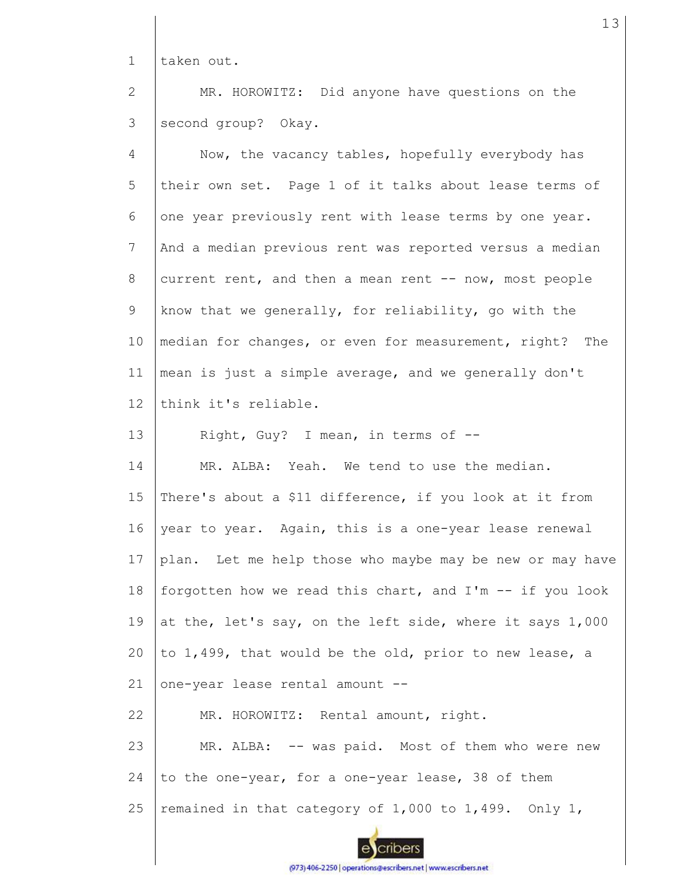1 taken out.

2 3 MR. HOROWITZ: Did anyone have questions on the second group? Okay.

| $\overline{4}$ | Now, the vacancy tables, hopefully everybody has            |
|----------------|-------------------------------------------------------------|
| 5              | their own set. Page 1 of it talks about lease terms of      |
| 6              | one year previously rent with lease terms by one year.      |
| 7              | And a median previous rent was reported versus a median     |
| 8              | current rent, and then a mean rent -- now, most people      |
| 9              | know that we generally, for reliability, go with the        |
| 10             | median for changes, or even for measurement, right? The     |
| 11             | mean is just a simple average, and we generally don't       |
| 12             | think it's reliable.                                        |
| 13             | Right, Guy? I mean, in terms of --                          |
| 14             | MR. ALBA: Yeah. We tend to use the median.                  |
| 15             | There's about a \$11 difference, if you look at it from     |
| 16             | year to year. Again, this is a one-year lease renewal       |
| 17             | plan. Let me help those who maybe may be new or may have    |
| 18             | forgotten how we read this chart, and I'm -- if you look    |
| 19             | at the, let's say, on the left side, where it says 1,000    |
| 20             | to 1,499, that would be the old, prior to new lease, a      |
| 21             | one-year lease rental amount --                             |
| 22             | MR. HOROWITZ: Rental amount, right.                         |
| 23             | MR. ALBA: -- was paid. Most of them who were new            |
| 24             | to the one-year, for a one-year lease, 38 of them           |
| 25             | remained in that category of $1,000$ to $1,499$ . Only $1,$ |
|                |                                                             |

eycribers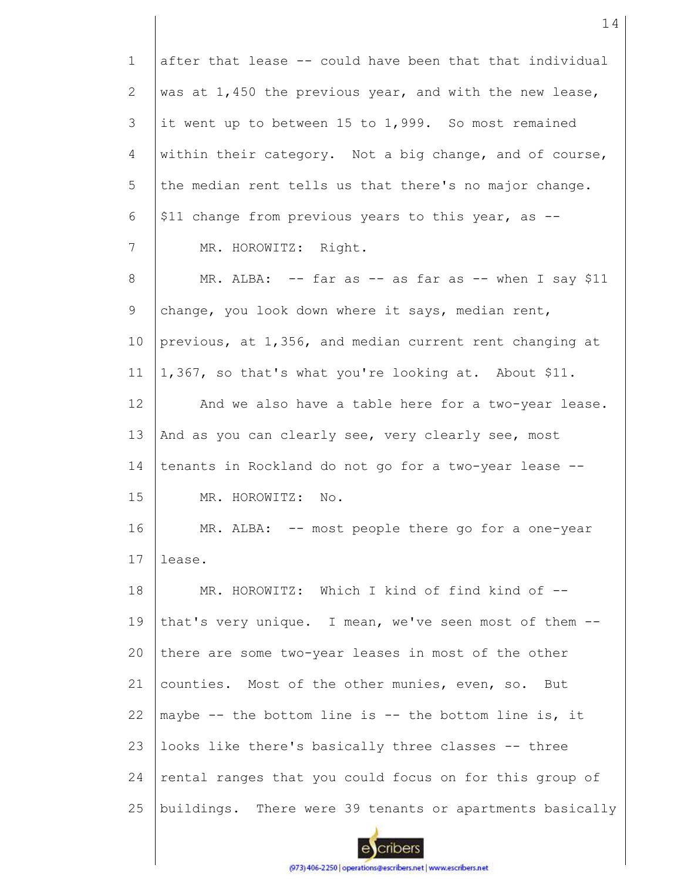| $\mathbf{1}$ | after that lease -- could have been that that individual  |
|--------------|-----------------------------------------------------------|
| 2            | was at $1,450$ the previous year, and with the new lease, |
| 3            | it went up to between 15 to 1,999. So most remained       |
| 4            | within their category. Not a big change, and of course,   |
| 5            | the median rent tells us that there's no major change.    |
| 6            | \$11 change from previous years to this year, as --       |
| 7            | MR. HOROWITZ: Right.                                      |
| 8            | MR. ALBA: $--$ far as $--$ as far as $--$ when I say \$11 |
| 9            | change, you look down where it says, median rent,         |
| 10           | previous, at 1,356, and median current rent changing at   |
| 11           | 1,367, so that's what you're looking at. About \$11.      |
| 12           | And we also have a table here for a two-year lease.       |
| 13           | And as you can clearly see, very clearly see, most        |
| 14           | tenants in Rockland do not go for a two-year lease --     |
| 15           | MR. HOROWITZ:<br>No.                                      |
| 16           | MR. ALBA: -- most people there go for a one-year          |
| 17           | lease.                                                    |
| 18           | MR. HOROWITZ: Which I kind of find kind of --             |
| 19           | that's very unique. I mean, we've seen most of them --    |
| 20           | there are some two-year leases in most of the other       |
| 21           | counties. Most of the other munies, even, so. But         |
| 22           | maybe -- the bottom line is -- the bottom line is, it     |
| 23           | looks like there's basically three classes -- three       |
| 24           | rental ranges that you could focus on for this group of   |
| 25           | buildings. There were 39 tenants or apartments basically  |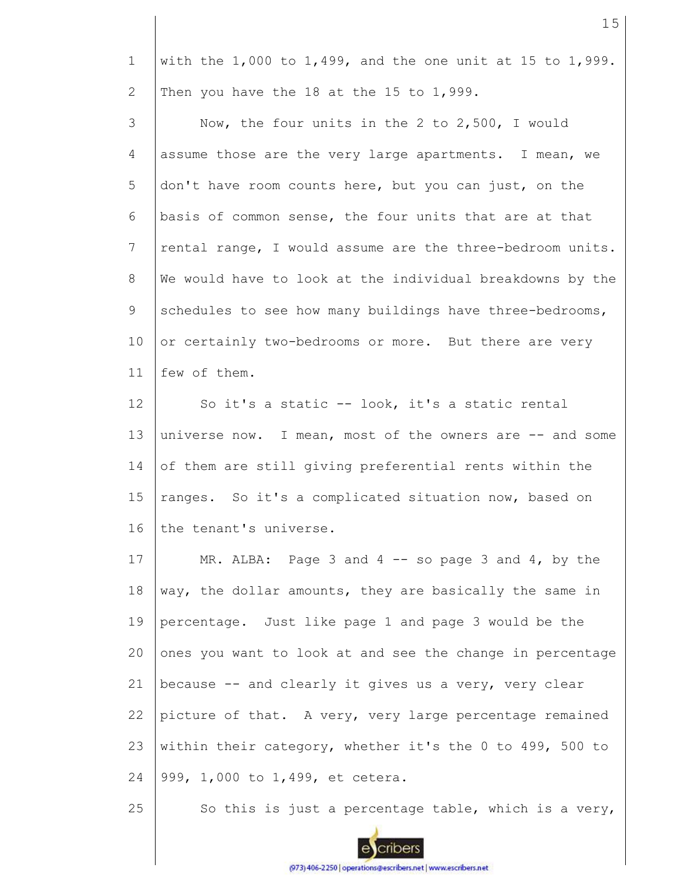1 2 with the  $1,000$  to  $1,499$ , and the one unit at 15 to  $1,999$ . Then you have the 18 at the 15 to 1,999.

3 4 5 6 7 8 9 10 11 Now, the four units in the 2 to 2,500, I would assume those are the very large apartments. I mean, we don't have room counts here, but you can just, on the basis of common sense, the four units that are at that rental range, I would assume are the three-bedroom units. We would have to look at the individual breakdowns by the schedules to see how many buildings have three-bedrooms, or certainly two-bedrooms or more. But there are very few of them.

12 13 14 15 16 So it's a static -- look, it's a static rental universe now. I mean, most of the owners are -- and some of them are still giving preferential rents within the ranges. So it's a complicated situation now, based on the tenant's universe.

17 18 19 20 21 22 23 24 MR. ALBA: Page 3 and 4  $-$  so page 3 and 4, by the way, the dollar amounts, they are basically the same in percentage. Just like page 1 and page 3 would be the ones you want to look at and see the change in percentage because -- and clearly it gives us a very, very clear picture of that. A very, very large percentage remained within their category, whether it's the 0 to 499, 500 to 999, 1,000 to 1,499, et cetera.

25 So this is just a percentage table, which is a very,

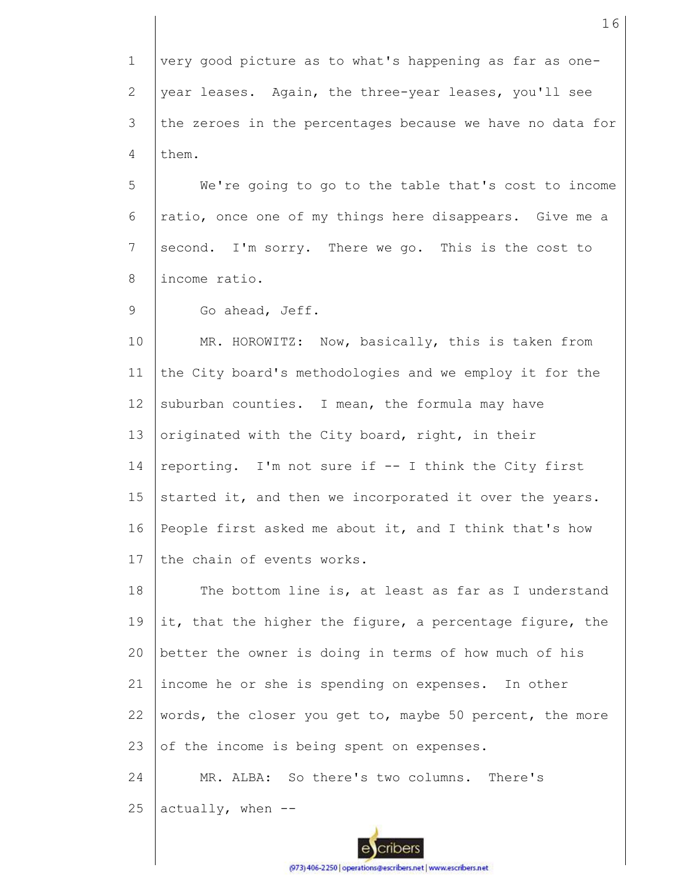1 2 3 4 very good picture as to what's happening as far as oneyear leases. Again, the three-year leases, you'll see the zeroes in the percentages because we have no data for them.

5 6 7 8 We're going to go to the table that's cost to income ratio, once one of my things here disappears. Give me a second. I'm sorry. There we go. This is the cost to income ratio.

9 Go ahead, Jeff.

10 11 12 13 14 15 16 17 MR. HOROWITZ: Now, basically, this is taken from the City board's methodologies and we employ it for the suburban counties. I mean, the formula may have originated with the City board, right, in their reporting. I'm not sure if -- I think the City first started it, and then we incorporated it over the years. People first asked me about it, and I think that's how the chain of events works.

18 19 20 21 22 23 The bottom line is, at least as far as I understand it, that the higher the figure, a percentage figure, the better the owner is doing in terms of how much of his income he or she is spending on expenses. In other words, the closer you get to, maybe 50 percent, the more of the income is being spent on expenses.

24 25 MR. ALBA: So there's two columns. There's  $actually, when --$ 

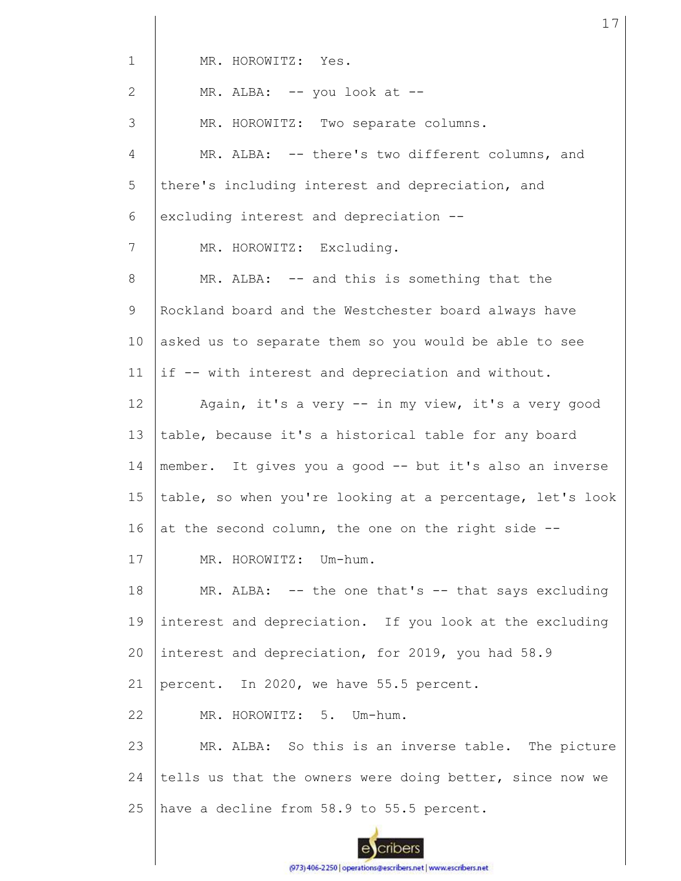| $\mathbf{1}$ | MR. HOROWITZ: Yes.                                        |  |  |  |  |
|--------------|-----------------------------------------------------------|--|--|--|--|
| $\mathbf{2}$ | MR. ALBA: -- you look at --                               |  |  |  |  |
| 3            | MR. HOROWITZ: Two separate columns.                       |  |  |  |  |
| 4            | MR. ALBA: -- there's two different columns, and           |  |  |  |  |
| 5            | there's including interest and depreciation, and          |  |  |  |  |
| 6            | excluding interest and depreciation --                    |  |  |  |  |
| 7            | MR. HOROWITZ: Excluding.                                  |  |  |  |  |
| 8            | MR. ALBA: -- and this is something that the               |  |  |  |  |
| 9            | Rockland board and the Westchester board always have      |  |  |  |  |
| 10           | asked us to separate them so you would be able to see     |  |  |  |  |
| 11           | if -- with interest and depreciation and without.         |  |  |  |  |
| 12           | Again, it's a very -- in my view, it's a very good        |  |  |  |  |
| 13           | table, because it's a historical table for any board      |  |  |  |  |
| 14           | member. It gives you a good -- but it's also an inverse   |  |  |  |  |
| 15           | table, so when you're looking at a percentage, let's look |  |  |  |  |
| 16           | at the second column, the one on the right side --        |  |  |  |  |
| 17           | MR. HOROWITZ: Um-hum.                                     |  |  |  |  |
| 18           | MR. ALBA: -- the one that's -- that says excluding        |  |  |  |  |
| 19           | interest and depreciation. If you look at the excluding   |  |  |  |  |
| 20           | interest and depreciation, for 2019, you had 58.9         |  |  |  |  |
| 21           | percent. In 2020, we have 55.5 percent.                   |  |  |  |  |
| 22           | MR. HOROWITZ: 5. Um-hum.                                  |  |  |  |  |
| 23           | MR. ALBA: So this is an inverse table. The picture        |  |  |  |  |
| 24           | tells us that the owners were doing better, since now we  |  |  |  |  |
| 25           | have a decline from 58.9 to 55.5 percent.                 |  |  |  |  |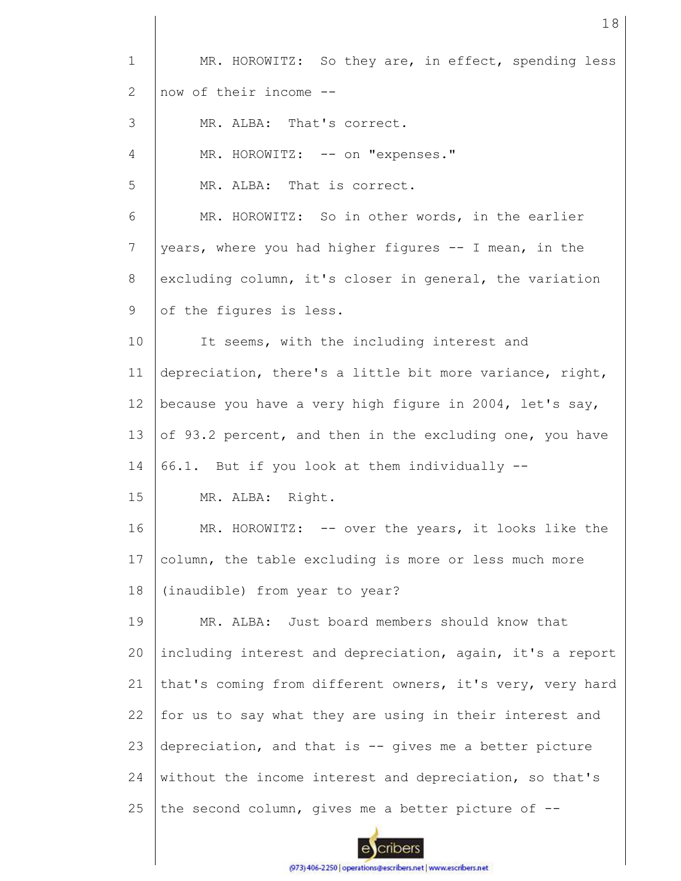| $\mathbf 1$    | MR. HOROWITZ: So they are, in effect, spending less       |  |  |  |  |  |
|----------------|-----------------------------------------------------------|--|--|--|--|--|
| $\mathbf{2}$   | now of their income --                                    |  |  |  |  |  |
| 3              | MR. ALBA: That's correct.                                 |  |  |  |  |  |
| 4              | MR. HOROWITZ: -- on "expenses."                           |  |  |  |  |  |
| 5              | MR. ALBA: That is correct.                                |  |  |  |  |  |
| 6              | MR. HOROWITZ: So in other words, in the earlier           |  |  |  |  |  |
| $\overline{7}$ | years, where you had higher figures -- I mean, in the     |  |  |  |  |  |
| 8              | excluding column, it's closer in general, the variation   |  |  |  |  |  |
| 9              | of the figures is less.                                   |  |  |  |  |  |
| 10             | It seems, with the including interest and                 |  |  |  |  |  |
| 11             | depreciation, there's a little bit more variance, right,  |  |  |  |  |  |
| 12             | because you have a very high figure in 2004, let's say,   |  |  |  |  |  |
| 13             | of 93.2 percent, and then in the excluding one, you have  |  |  |  |  |  |
| 14             | 66.1. But if you look at them individually --             |  |  |  |  |  |
| 15             | MR. ALBA: Right.                                          |  |  |  |  |  |
| 16             | MR. HOROWITZ: -- over the years, it looks like the        |  |  |  |  |  |
| 17             | column, the table excluding is more or less much more     |  |  |  |  |  |
| 18             | (inaudible) from year to year?                            |  |  |  |  |  |
| 19             | MR. ALBA: Just board members should know that             |  |  |  |  |  |
| 20             | including interest and depreciation, again, it's a report |  |  |  |  |  |
| 21             | that's coming from different owners, it's very, very hard |  |  |  |  |  |
| 22             | for us to say what they are using in their interest and   |  |  |  |  |  |
| 23             | depreciation, and that is -- gives me a better picture    |  |  |  |  |  |
| 24             | without the income interest and depreciation, so that's   |  |  |  |  |  |
| 25             | the second column, gives me a better picture of --        |  |  |  |  |  |
|                |                                                           |  |  |  |  |  |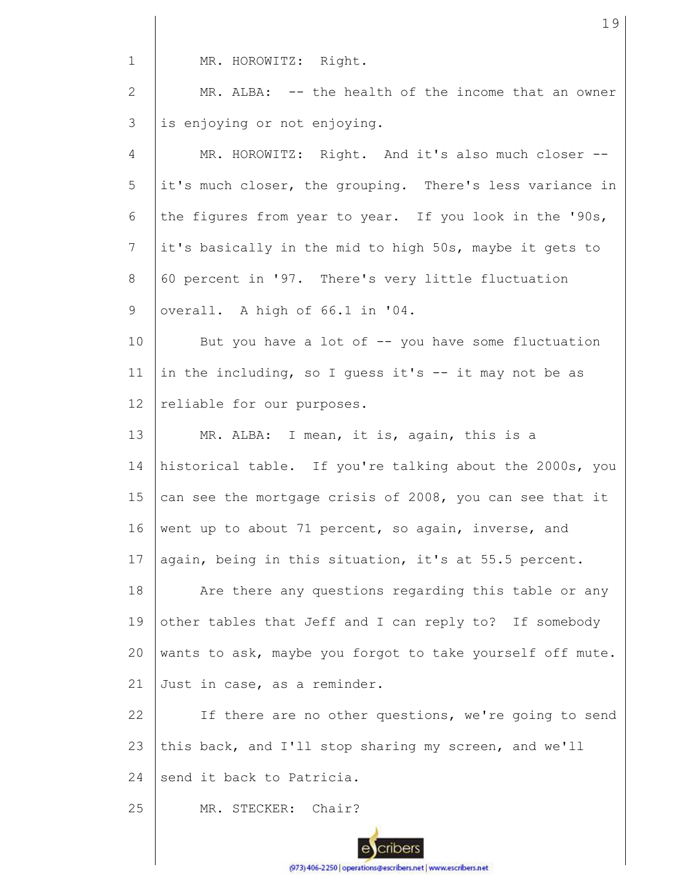1 MR. HOROWITZ: Right.

2 3 MR. ALBA: -- the health of the income that an owner is enjoying or not enjoying.

4 5 6 7 8 9 10 11 12 13 14 15 16 17 18 19 20 21 MR. HOROWITZ: Right. And it's also much closer -it's much closer, the grouping. There's less variance in the figures from year to year. If you look in the '90s, it's basically in the mid to high 50s, maybe it gets to 60 percent in '97. There's very little fluctuation overall. A high of 66.1 in '04. But you have a lot of  $-$ - you have some fluctuation in the including, so I quess it's  $-$  it may not be as reliable for our purposes. MR. ALBA: I mean, it is, again, this is a historical table. If you're talking about the 2000s, you can see the mortgage crisis of 2008, you can see that it went up to about 71 percent, so again, inverse, and again, being in this situation, it's at 55.5 percent. Are there any questions regarding this table or any other tables that Jeff and I can reply to? If somebody wants to ask, maybe you forgot to take yourself off mute. Just in case, as a reminder.

22 23 24 If there are no other questions, we're going to send this back, and I'll stop sharing my screen, and we'll send it back to Patricia.

25 MR. STECKER: Chair?

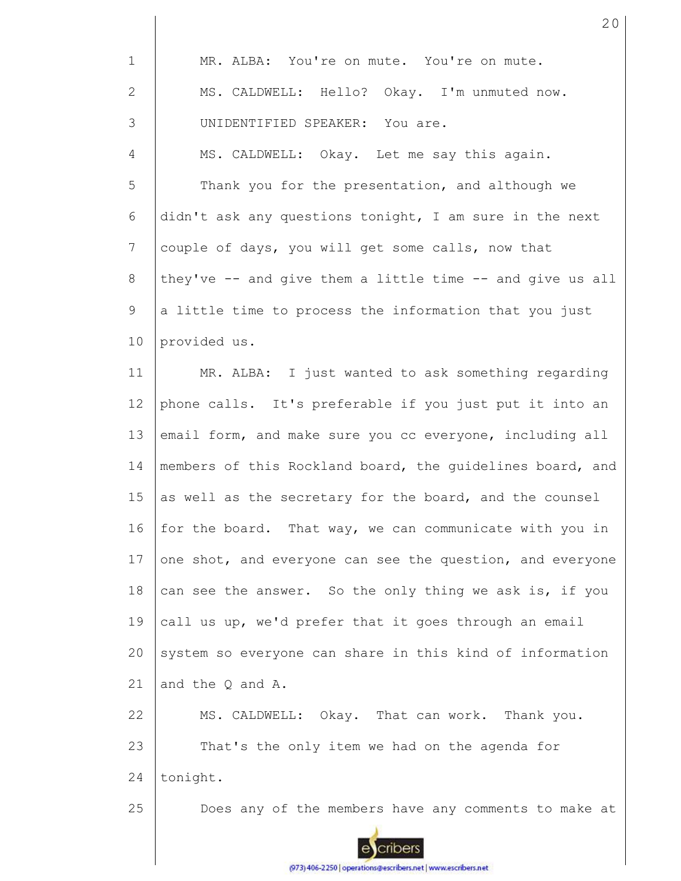| $\mathbf 1$    | MR. ALBA: You're on mute. You're on mute.                 |
|----------------|-----------------------------------------------------------|
| $\mathbf{2}$   | MS. CALDWELL: Hello? Okay. I'm unmuted now.               |
| 3              | UNIDENTIFIED SPEAKER: You are.                            |
| $\overline{4}$ | MS. CALDWELL: Okay. Let me say this again.                |
| 5              | Thank you for the presentation, and although we           |
| 6              | didn't ask any questions tonight, I am sure in the next   |
| 7              | couple of days, you will get some calls, now that         |
| 8              | they've -- and give them a little time -- and give us all |
| 9              | a little time to process the information that you just    |
| 10             | provided us.                                              |
| 11             | MR. ALBA: I just wanted to ask something regarding        |
| 12             | phone calls. It's preferable if you just put it into an   |
| 13             | email form, and make sure you cc everyone, including all  |
| 14             | members of this Rockland board, the guidelines board, and |
| 15             | as well as the secretary for the board, and the counsel   |
| 16             | for the board. That way, we can communicate with you in   |
| 17             | one shot, and everyone can see the question, and everyone |
| 18             | can see the answer. So the only thing we ask is, if you   |
| 19             | call us up, we'd prefer that it goes through an email     |
| 20             | system so everyone can share in this kind of information  |
| 21             | and the Q and A.                                          |
| 22             | MS. CALDWELL: Okay. That can work. Thank you.             |
| 23             | That's the only item we had on the agenda for             |
| 24             | tonight.                                                  |
| 25             | Does any of the members have any comments to make at      |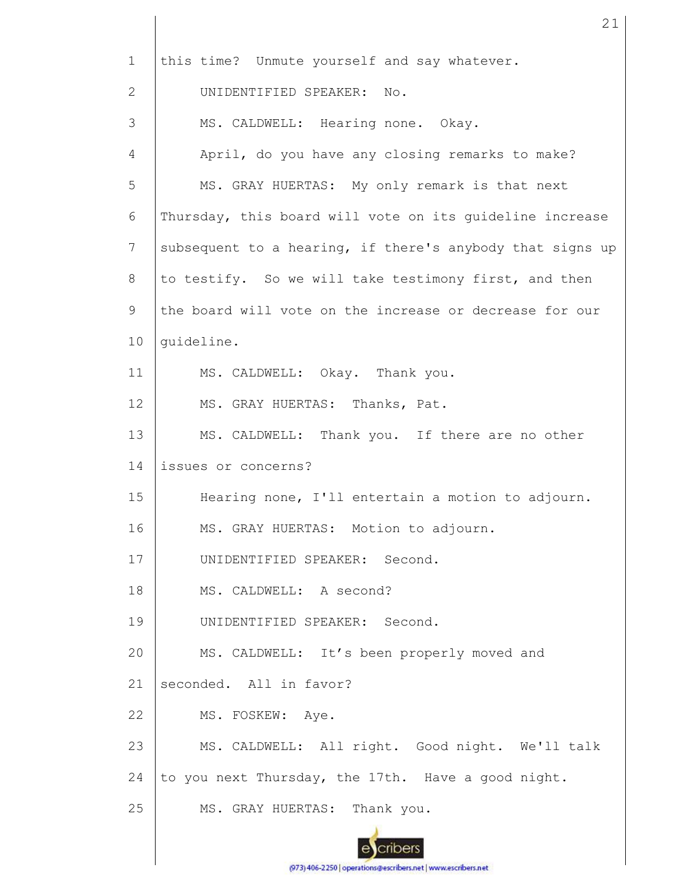| $\mathbf{1}$ | this time? Unmute yourself and say whatever.              |  |  |  |  |
|--------------|-----------------------------------------------------------|--|--|--|--|
| 2            | UNIDENTIFIED SPEAKER: No.                                 |  |  |  |  |
| 3            | MS. CALDWELL: Hearing none. Okay.                         |  |  |  |  |
| 4            | April, do you have any closing remarks to make?           |  |  |  |  |
| 5            | MS. GRAY HUERTAS: My only remark is that next             |  |  |  |  |
| 6            | Thursday, this board will vote on its guideline increase  |  |  |  |  |
| 7            | subsequent to a hearing, if there's anybody that signs up |  |  |  |  |
| 8            | to testify. So we will take testimony first, and then     |  |  |  |  |
| 9            | the board will vote on the increase or decrease for our   |  |  |  |  |
| 10           | quideline.                                                |  |  |  |  |
| 11           | MS. CALDWELL: Okay. Thank you.                            |  |  |  |  |
| 12           | MS. GRAY HUERTAS: Thanks, Pat.                            |  |  |  |  |
| 13           | MS. CALDWELL: Thank you. If there are no other            |  |  |  |  |
| 14           | issues or concerns?                                       |  |  |  |  |
| 15           | Hearing none, I'll entertain a motion to adjourn.         |  |  |  |  |
| 16           | MS. GRAY HUERTAS: Motion to adjourn.                      |  |  |  |  |
| 17           | UNIDENTIFIED SPEAKER: Second.                             |  |  |  |  |
| 18           | MS. CALDWELL: A second?                                   |  |  |  |  |
| 19           | UNIDENTIFIED SPEAKER: Second.                             |  |  |  |  |
| 20           | MS. CALDWELL: It's been properly moved and                |  |  |  |  |
| 21           | seconded. All in favor?                                   |  |  |  |  |
| 22           | MS. FOSKEW: Aye.                                          |  |  |  |  |
| 23           | MS. CALDWELL: All right. Good night. We'll talk           |  |  |  |  |
| 24           | to you next Thursday, the 17th. Have a good night.        |  |  |  |  |
| 25           | MS. GRAY HUERTAS: Thank you.                              |  |  |  |  |
|              |                                                           |  |  |  |  |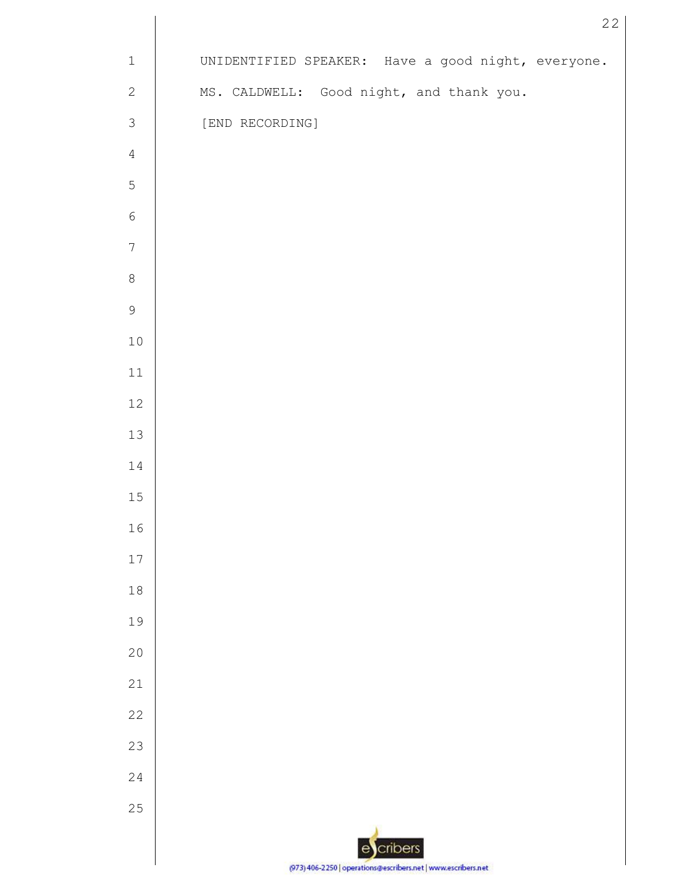| $\mathbf 1$      | UNIDENTIFIED SPEAKER: Have a good night, everyone.            |
|------------------|---------------------------------------------------------------|
| $\sqrt{2}$       | MS. CALDWELL: Good night, and thank you.                      |
| $\mathsf 3$      | [END RECORDING]                                               |
| $\sqrt{4}$       |                                                               |
| $\mathsf S$      |                                                               |
| $\sqrt{6}$       |                                                               |
| $\boldsymbol{7}$ |                                                               |
| $\,8\,$          |                                                               |
| $\mathsf 9$      |                                                               |
| $10$             |                                                               |
| $11\,$           |                                                               |
| $12\,$           |                                                               |
| $13\,$           |                                                               |
| $1\,4$           |                                                               |
| $15\,$           |                                                               |
| 16               |                                                               |
| $17$             |                                                               |
| $18\,$           |                                                               |
| 19               |                                                               |
| $20$             |                                                               |
| 21               |                                                               |
| 22               |                                                               |
| 23               |                                                               |
| 24               |                                                               |
| $2\,5$           |                                                               |
|                  | cribers<br>$\mathbf{e}$                                       |
|                  | (973) 406-2250   operations@escribers.net   www.escribers.net |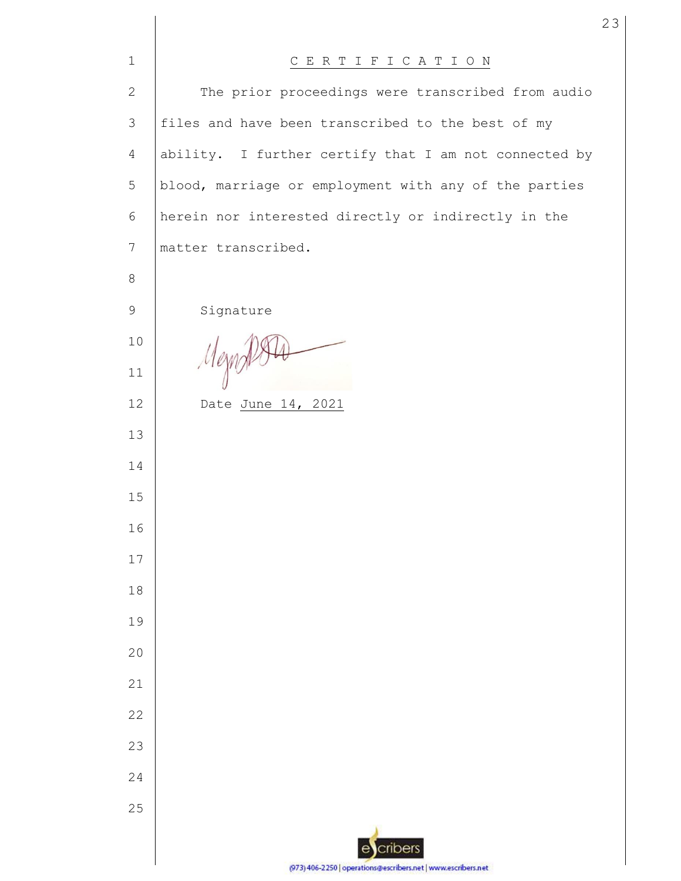| $\mathbf{1}$    | CERTIFICATION                                                 |
|-----------------|---------------------------------------------------------------|
| $\mathbf{2}$    | The prior proceedings were transcribed from audio             |
| 3               | files and have been transcribed to the best of my             |
| $\overline{4}$  | ability. I further certify that I am not connected by         |
| 5               | blood, marriage or employment with any of the parties         |
| 6               | herein nor interested directly or indirectly in the           |
| $7\phantom{.0}$ | matter transcribed.                                           |
| 8               |                                                               |
| $\mathsf 9$     | Signature                                                     |
| 10              |                                                               |
| 11              | Mezn                                                          |
| 12              | Date June 14, 2021                                            |
| 13              |                                                               |
| 14              |                                                               |
| 15              |                                                               |
| 16              |                                                               |
| 17              |                                                               |
| 18              |                                                               |
| 19              |                                                               |
| 20              |                                                               |
| 21              |                                                               |
| 22              |                                                               |
| 23              |                                                               |
| 24              |                                                               |
| 25              |                                                               |
|                 | cribers<br>e                                                  |
|                 | (973) 406-2250   operations@escribers.net   www.escribers.net |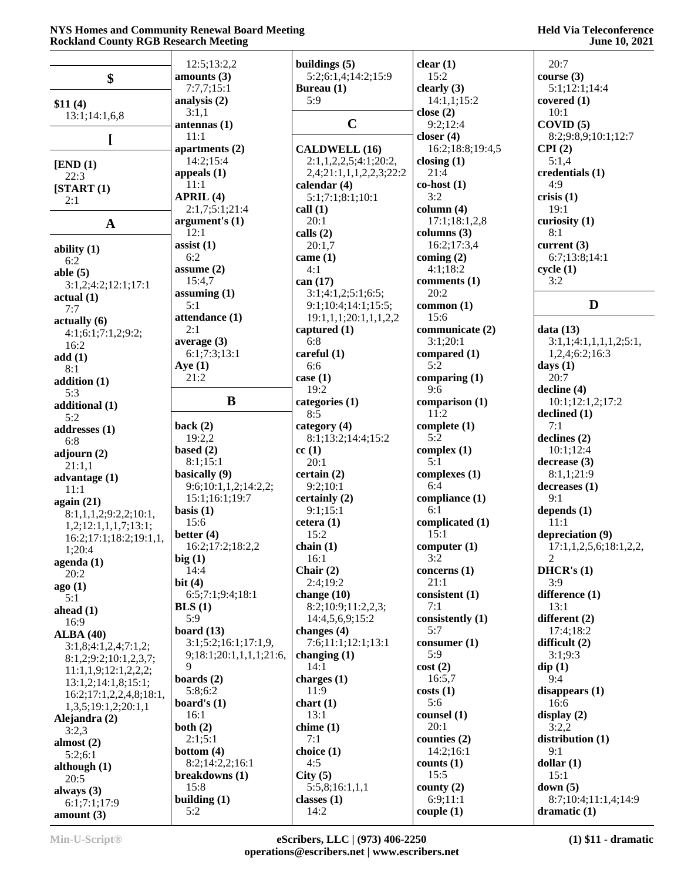|                         | 12:5;13:2,2             | buildings $(5)$         | clear $(1)$           | 20:7                   |
|-------------------------|-------------------------|-------------------------|-----------------------|------------------------|
|                         | amounts (3)             | 5:2;6:1,4;14:2;15:9     | 15:2                  | course $(3)$           |
| \$                      |                         |                         |                       | 5:1;12:1;14:4          |
|                         | 7:7,7;15:1              | Bureau (1)              | clearly $(3)$         |                        |
| \$11(4)                 | analysis $(2)$          | 5:9                     | 14:1,1;15:2           | covered $(1)$          |
| 13:1;14:1,6,8           | 3:1,1                   |                         | close $(2)$           | 10:1                   |
|                         | antennas $(1)$          | $\mathbf C$             | 9:2;12:4              | COVID(5)               |
| L                       | 11:1                    |                         | closer $(4)$          | 8:2;9:8,9;10:1;12:7    |
|                         | apartments (2)          | <b>CALDWELL (16)</b>    | 16:2;18:8;19:4,5      | CPI(2)                 |
|                         | 14:2;15:4               | 2:1,1,2,2,5;4:1;20:2,   | closing $(1)$         | 5:1,4                  |
| [END (1)]               | appeals $(1)$           | 2,4;21:1,1,1,2,2,3;22:2 | 21:4                  | credentials (1)        |
| 22:3                    |                         |                         |                       |                        |
| [START (1)]             | 11:1                    | calendar $(4)$          | $\textbf{co-host}(1)$ | 4:9                    |
| 2:1                     | APRIL (4)               | 5:1;7:1;8:1;10:1        | 3:2                   | crisis(1)              |
|                         | 2:1,7;5:1;21:4          | call(1)                 | column (4)            | 19:1                   |
| $\mathbf{A}$            | argument's $(1)$        | 20:1                    | 17:1;18:1,2,8         | curiosity $(1)$        |
|                         | 12:1                    | calls $(2)$             | columns $(3)$         | 8:1                    |
|                         | assist $(1)$            | 20:1,7                  | 16:2;17:3,4           | current $(3)$          |
| ability $(1)$           |                         |                         |                       |                        |
| 6:2                     | 6:2                     | came $(1)$              | coming $(2)$          | 6:7;13:8;14:1          |
| able $(5)$              | assume $(2)$            | 4:1                     | 4:1;18:2              | cycle(1)               |
| 3:1,2;4:2;12:1;17:1     | 15:4,7                  | can (17)                | comments (1)          | 3:2                    |
| actual(1)               | assuming $(1)$          | 3:1;4:1,2;5:1;6:5;      | 20:2                  |                        |
|                         | 5:1                     | 9:1;10:4;14:1;15:5;     | common (1)            | D                      |
| 7:7                     | attendance (1)          | 19:1,1,1;20:1,1,1,2,2   | 15:6                  |                        |
| actually (6)            | 2:1                     |                         | communicate (2)       | data(13)               |
| 4:1;6:1;7:1,2;9:2;      |                         | captured $(1)$          |                       |                        |
| 16:2                    | average $(3)$           | 6:8                     | 3:1;20:1              | 3:1,1;4:1,1,1,1,2;5:1, |
| add(1)                  | 6:1;7:3;13:1            | careful $(1)$           | compared (1)          | 1,2,4;6:2;16:3         |
| 8:1                     | Aye $(1)$               | 6:6                     | 5:2                   | days $(1)$             |
|                         | 21:2                    | case $(1)$              | comparing $(1)$       | 20:7                   |
| addition (1)            |                         | 19:2                    | 9:6                   | $\text{decline}(4)$    |
| 5:3                     | B                       | categories (1)          | comparison (1)        | 10:1;12:1,2;17:2       |
| additional (1)          |                         |                         |                       |                        |
| 5:2                     |                         | 8:5                     | 11:2                  | declined (1)           |
| addresses (1)           | back $(2)$              | category (4)            | complete $(1)$        | 7:1                    |
| 6:8                     | 19:2,2                  | 8:1;13:2;14:4;15:2      | 5:2                   | declines(2)            |
| adjourn (2)             | based $(2)$             | cc(1)                   | complex $(1)$         | 10:1;12:4              |
|                         | 8:1;15:1                | 20:1                    | 5:1                   | decrease(3)            |
| 21:1,1                  | basically (9)           | certain $(2)$           | complexes (1)         | 8:1,1;21:9             |
| advantage $(1)$         |                         | 9:2;10:1                | 6:4                   | decreases(1)           |
| 11:1                    | 9:6;10:1,1,2;14:2,2;    |                         |                       |                        |
| again (21)              | 15:1;16:1;19:7          | certainly $(2)$         | compliance (1)        | 9:1                    |
| 8:1,1,1,2;9:2,2;10:1,   | basis $(1)$             | 9:1;15:1                | 6:1                   | depends $(1)$          |
| 1,2;12:1,1,1,7;13:1;    | 15:6                    | cetera(1)               | complicated (1)       | 11:1                   |
| 16:2;17:1;18:2;19:1,1,  | better $(4)$            | 15:2                    | 15:1                  | depreciation (9)       |
|                         | 16:2;17:2;18:2,2        | chain $(1)$             | computer(1)           | 17:1,1,2,5,6;18:1,2,2, |
| 1;20:4                  | big(1)                  | 16:1                    | 3:2                   | $\mathfrak{D}$         |
| $a$ genda $(1)$         | 14:4                    | Chair $(2)$             | concerns $(1)$        | DHCR's(1)              |
| 20:2                    |                         |                         |                       |                        |
| ago(1)                  | bit $(4)$               | 2:4;19:2                | 21:1                  | 3:9                    |
| 5:1                     | 6:5;7:1;9:4;18:1        | change $(10)$           | consistent (1)        | difference (1)         |
| ahead $(1)$             | BLS(1)                  | 8:2;10:9;11:2,2,3;      | 7:1                   | 13:1                   |
| 16:9                    | 5:9                     | 14:4,5,6,9;15:2         | consistently (1)      | different (2)          |
| ALBA(40)                | board $(13)$            | changes $(4)$           | 5:7                   | 17:4;18:2              |
|                         | 3:1;5:2;16:1;17:1,9     | 7:6;11:1;12:1;13:1      | consumer (1)          | difficult $(2)$        |
| 3:1,8;4:1,2,4;7:1,2;    | 9;18:1;20:1,1,1,1;21:6, | changing $(1)$          | 5:9                   | 3:1;9:3                |
| 8:1,2;9:2;10:1,2,3,7;   | 9                       |                         |                       |                        |
| 11:1,1,9;12:1,2,2,2;    |                         | 14:1                    | cost(2)               | $\text{dip}(1)$        |
| 13:1,2;14:1,8;15:1;     | boards $(2)$            | charges $(1)$           | 16:5,7                | 9:4                    |
| 16:2;17:1,2,2,4,8;18:1, | 5:8;6:2                 | 11:9                    | costs(1)              | disappears $(1)$       |
| 1,3,5;19:1,2;20:1,1     | board's $(1)$           | chart(1)                | 5:6                   | 16:6                   |
|                         | 16:1                    | 13:1                    | counsel (1)           | display $(2)$          |
| Alejandra (2)           | both $(2)$              | chime(1)                | 20:1                  | 3:2,2                  |
| 3:2,3                   |                         |                         |                       |                        |
| almost $(2)$            | 2:1;5:1                 | 7:1                     | counties $(2)$        | distribution $(1)$     |
| 5:2;6:1                 | bottom $(4)$            | choice (1)              | 14:2;16:1             | 9:1                    |
| although (1)            | 8:2;14:2,2;16:1         | 4:5                     | counts $(1)$          | dollar(1)              |
| 20:5                    | breakdowns (1)          | City(5)                 | 15:5                  | 15:1                   |
|                         | 15:8                    | 5:5,8;16:1,1,1          | county $(2)$          | down $(5)$             |
| always $(3)$            | building $(1)$          | classes $(1)$           | 6:9;11:1              | 8:7;10:4;11:1,4;14:9   |
| 6:1;7:1;17:9            |                         |                         |                       |                        |
| amount $(3)$            | 5:2                     | 14:2                    | couple(1)             | dramatic $(1)$         |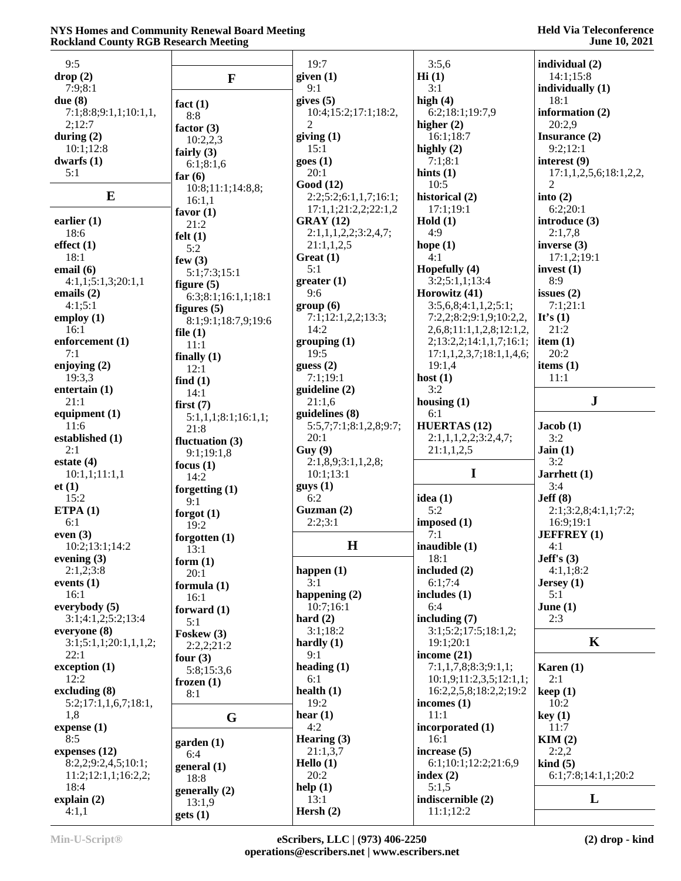| 9:5                   |                     | 19:7                   | 3:5,6                          | individual (2)                |
|-----------------------|---------------------|------------------------|--------------------------------|-------------------------------|
| drop(2)               |                     | given (1)              | Hi(1)                          | 14:1;15:8                     |
|                       | $\mathbf{F}$        | 9:1                    | 3:1                            |                               |
| 7:9:8:1               |                     |                        |                                | individually (1)              |
| due $(8)$             | fact $(1)$          | gives $(5)$            | high $(4)$                     | 18:1                          |
| 7:1;8:8;9:1,1;10:1,1, | 8:8                 | 10:4;15:2;17:1;18:2,   | 6:2;18:1;19:7,9                | information (2)               |
| 2;12:7                | factor $(3)$        | $\overline{2}$         | higher $(2)$                   | 20:2,9                        |
| during $(2)$          | 10:2,2,3            | giving $(1)$           | 16:1;18:7                      | Insurance (2)                 |
| 10:1;12:8             | fairly $(3)$        | 15:1                   | highly $(2)$                   | 9:2;12:1                      |
| dwarfs $(1)$          |                     | goes(1)                | 7:1;8:1                        | interest (9)                  |
| 5:1                   | 6:1;8:1,6           | 20:1                   | hints $(1)$                    | 17:1, 1, 2, 5, 6; 18:1, 2, 2, |
|                       | far $(6)$           | Good (12)              | 10:5                           | 2                             |
| $\bf{E}$              | 10:8;11:1;14:8,8;   |                        |                                |                               |
|                       | 16:1,1              | 2:2;5:2;6:1,1,7;16:1;  | historical (2)                 | into $(2)$                    |
|                       | favor $(1)$         | 17:1,1;21:2,2;22:1,2   | 17:1;19:1                      | 6:2;20:1                      |
| earlier $(1)$         | 21:2                | GRAY(12)               | Hold $(1)$                     | introduce (3)                 |
| 18:6                  | felt(1)             | 2:1,1,1,2,2;3:2,4,7;   | 4:9                            | 2:1,7,8                       |
| effect(1)             | 5:2                 | 21:1,1,2,5             | hope $(1)$                     | inverse $(3)$                 |
| 18:1                  | few $(3)$           | Great $(1)$            | 4:1                            | 17:1,2;19:1                   |
| email (6)             |                     | 5:1                    | Hopefully (4)                  | invest $(1)$                  |
| 4:1,1;5:1,3;20:1,1    | 5:1;7:3;15:1        | greater(1)             | 3:2;5:1,1;13:4                 | 8:9                           |
|                       | figure $(5)$        |                        |                                |                               |
| emails $(2)$          | 6:3;8:1;16:1,1;18:1 | 9:6                    | Horowitz (41)                  | issues $(2)$                  |
| 4:1;5:1               | figures $(5)$       | group(6)               | 3:5,6,8;4:1,1,2;5:1;           | 7:1:21:1                      |
| employ $(1)$          | 8:1;9:1;18:7,9;19:6 | 7:1;12:1,2,2;13:3;     | 7:2,2;8:2;9:1,9;10:2,2,        | It's $(1)$                    |
| 16:1                  | file $(1)$          | 14:2                   | 2,6,8;11:1,1,2,8;12:1,2,       | 21:2                          |
| enforcement (1)       | 11:1                | grouping(1)            | 2;13:2,2;14:1,1,7;16:1;        | item $(1)$                    |
| 7:1                   |                     | 19:5                   | 17:1,1,2,3,7;18:1,1,4,6;       | 20:2                          |
| enjoying $(2)$        | finally $(1)$       | guess $(2)$            | 19:1,4                         | items $(1)$                   |
| 19:3,3                | 12:1                | 7:1;19:1               | host $(1)$                     | 11:1                          |
|                       | find $(1)$          |                        |                                |                               |
| entertain (1)         | 14:1                | guideline (2)          | 3:2                            |                               |
| 21:1                  | first $(7)$         | 21:1,6                 | housing $(1)$                  | ${\bf J}$                     |
| equipment $(1)$       | 5:1,1,1;8:1;16:1,1; | guidelines (8)         | 6:1                            |                               |
| 11:6                  | 21:8                | 5:5,7;7:1;8:1,2,8;9:7; | <b>HUERTAS (12)</b>            | Jacob(1)                      |
| established (1)       | fluctuation $(3)$   | 20:1                   | 2:1,1,1,2,2;3:2,4,7;           | 3:2                           |
| 2:1                   | 9:1;19:1,8          | Guy(9)                 | 21:1,1,2,5                     | Jain(1)                       |
| estate $(4)$          |                     | 2:1,8,9;3:1,1,2,8;     |                                | 3:2                           |
|                       | focus $(1)$         |                        |                                |                               |
|                       |                     |                        |                                |                               |
| 10:1,1;11:1,1         | 14:2                | 10:1;13:1              | $\mathbf I$                    | Jarrhett $(1)$                |
| et(1)                 | forgetting $(1)$    | gays(1)                |                                | 3:4                           |
| 15:2                  | 9:1                 | 6:2                    | idea $(1)$                     | Jeff(8)                       |
| ETPA $(1)$            | forgot $(1)$        | Guzman (2)             | 5:2                            | 2:1;3:2,8;4:1,1;7:2;          |
| 6:1                   |                     | 2:2;3:1                | imposed (1)                    | 16:9;19:1                     |
| even $(3)$            | 19:2                |                        | 7:1                            | <b>JEFFREY</b> (1)            |
|                       | forgotten $(1)$     |                        |                                |                               |
| 10:2;13:1;14:2        | 13:1                | $\mathbf H$            | inaudible (1)                  | 4: I                          |
| evening $(3)$         | form $(1)$          |                        | 18:1                           | Jeff's $(3)$                  |
| 2:1,2;3:8             | 20:1                | happen $(1)$           | included $(2)$                 | 4:1,1;8:2                     |
| events $(1)$          | formula $(1)$       | 3:1                    | 6:1;7:4                        | Jersey(1)                     |
| 16:1                  | 16:1                | happening $(2)$        | includes $(1)$                 | 5:1                           |
| everybody (5)         | forward $(1)$       | 10:7:16:1              | 6:4                            | June $(1)$                    |
| 3:1;4:1,2;5:2;13:4    | 5:1                 | hard $(2)$             | including $(7)$                | 2:3                           |
| everyone (8)          |                     | 3:1;18:2               | 3:1;5:2;17:5;18:1,2;           |                               |
|                       | Foskew (3)          |                        | 19:1;20:1                      | $\mathbf K$                   |
| 3:1;5:1,1;20:1,1,1,2; | 2:2,2;21:2          | hardly $(1)$           |                                |                               |
| 22:1                  | four $(3)$          | 9:1                    | income (21)                    |                               |
| exception (1)         | 5:8;15:3,6          | heading $(1)$          | 7:1,1,7,8;8:3;9:1,1;           | Karen $(1)$                   |
| 12:2                  | frozen $(1)$        | 6:1                    | 10:1,9;11:2,3,5;12:1,1;        | 2:1                           |
| excluding $(8)$       | 8:1                 | health $(1)$           | 16:2,2,5,8;18:2,2;19:2         | keep(1)                       |
| 5:2;17:1,1,6,7;18:1,  |                     | 19:2                   | incomes $(1)$                  | 10:2                          |
| 1,8                   | G                   | hear $(1)$             | 11:1                           | key(1)                        |
| expense (1)           |                     | 4:2                    | incorporated (1)               | 11:7                          |
| 8:5                   |                     | Hearing $(3)$          | 16:1                           | KIM(2)                        |
|                       | garden(1)           |                        |                                |                               |
| expenses $(12)$       | 6:4                 | 21:1,3,7               | increase (5)                   | 2:2,2                         |
| 8:2,2;9:2,4,5;10:1;   | general (1)         | Hello $(1)$            | 6:1;10:1;12:2;21:6,9           | $\;$ kind $\;$ (5)            |
| 11:2;12:1,1;16:2,2;   | 18:8                | 20:2                   | index $(2)$                    | 6:1;7:8;14:1,1;20:2           |
| 18:4                  | generally (2)       | help(1)                | 5:1,5                          |                               |
| explain(2)<br>4:1,1   | 13:1,9              | 13:1<br>Hersh $(2)$    | indiscernible (2)<br>11:1;12:2 | L                             |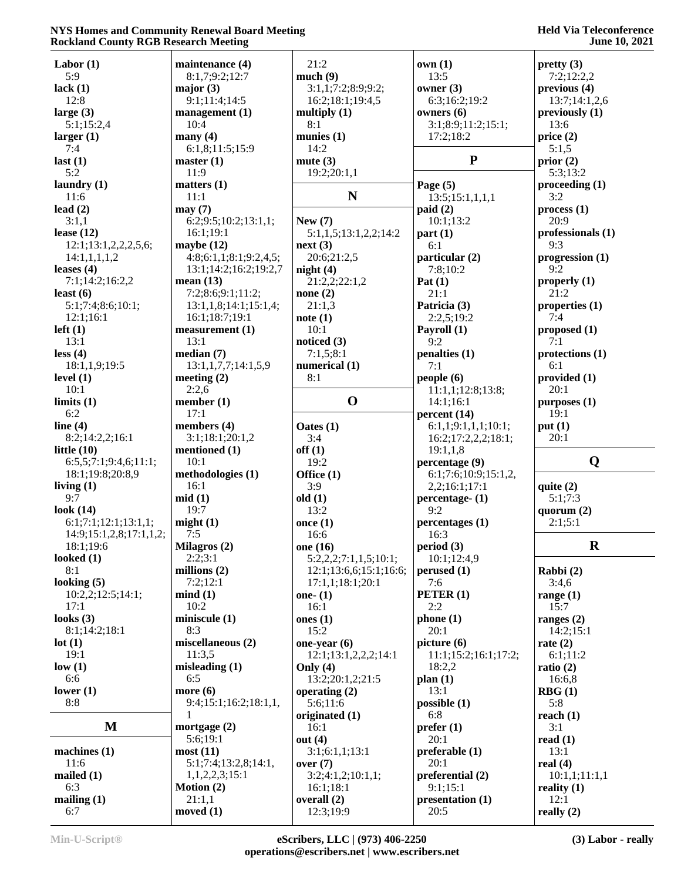| Labor $(1)$             | maintenance (4)        | 21:2                   | own(1)               | pretty(3)         |
|-------------------------|------------------------|------------------------|----------------------|-------------------|
| 5:9                     | 8:1,7;9:2;12:7         | much(9)                | 13:5                 | 7:2;12:2,2        |
| lack $(1)$              | major $(3)$            | 3:1,1;7:2;8:9;9:2;     | owner $(3)$          | previous (4)      |
| 12:8                    | 9:1;11:4;14:5          | 16:2;18:1;19:4,5       | 6:3;16:2;19:2        | 13:7;14:1,2,6     |
| large $(3)$             | management (1)         | multiply $(1)$         | owners $(6)$         | previously $(1)$  |
| 5:1;15:2,4              | 10:4                   | 8:1                    | 3:1;8:9;11:2;15:1;   | 13:6              |
| larger(1)               | many $(4)$             | munies $(1)$           | 17:2;18:2            | price(2)          |
| 7:4                     | 6:1,8;11:5;15:9        | 14:2                   |                      | 5:1,5             |
| last $(1)$              | master(1)              | mute $(3)$             | ${\bf P}$            | prior $(2)$       |
| 5:2                     | 11:9                   | 19:2;20:1,1            |                      | 5:3;13:2          |
| laundry $(1)$           | matters $(1)$          |                        | Page $(5)$           | procedureding(1)  |
|                         |                        | N                      |                      | 3:2               |
| 11:6                    | 11:1                   |                        | 13:5;15:1,1,1,1      |                   |
| lead $(2)$              | may(7)                 |                        | paid(2)              | process(1)        |
| 3:1,1                   | 6:2;9:5;10:2;13:1,1;   | New $(7)$              | 10:1;13:2            | 20:9              |
| lease $(12)$            | 16:1;19:1              | 5:1,1,5;13:1,2,2;14:2  | part(1)              | professionals (1) |
| 12:1;13:1,2,2,2,5,6;    | maybe $(12)$           | next(3)                | 6:1                  | 9:3               |
| 14:1,1,1,1,2            | 4:8;6:1,1;8:1;9:2,4,5; | 20:6;21:2,5            | particular (2)       | progression $(1)$ |
| leases $(4)$            | 13:1;14:2;16:2;19:2,7  | night $(4)$            | 7:8:10:2             | 9:2               |
| 7:1;14:2;16:2,2         | mean $(13)$            | 21:2,2;22:1,2          | Pat $(1)$            | properly $(1)$    |
| least $(6)$             | 7:2;8:6;9:1;11:2;      | none $(2)$             | 21:1                 | 21:2              |
| 5:1;7:4;8:6;10:1;       | 13:1,1,8;14:1;15:1,4;  | 21:1,3                 | Patricia (3)         | properties (1)    |
| 12:1;16:1               | 16:1;18:7;19:1         | note(1)                | 2:2,5;19:2           | 7:4               |
|                         | measurement (1)        | 10:1                   |                      |                   |
| $left(1\right)$         |                        |                        | Payroll (1)          | proposed (1)      |
| 13:1                    | 13:1                   | noticed $(3)$          | 9:2                  | 7:1               |
| less(4)                 | median(7)              | 7:1,5;8:1              | penalties (1)        | protections (1)   |
| 18:1,1,9;19:5           | 13:1,1,7,7;14:1,5,9    | numerical (1)          | 7:1                  | 6:1               |
| level $(1)$             | meeting $(2)$          | 8:1                    | people $(6)$         | provided (1)      |
| 10:1                    | 2:2,6                  |                        | 11:1,1;12:8;13:8;    | 20:1              |
| limits(1)               | member $(1)$           | $\mathbf 0$            | 14:1;16:1            | $p$ urposes $(1)$ |
| 6:2                     | 17:1                   |                        | percent(14)          | 19:1              |
| line $(4)$              | members $(4)$          | Oates $(1)$            | 6:1,1;9:1,1,1;10:1;  | put $(1)$         |
| 8:2;14:2,2;16:1         | 3:1;18:1;20:1,2        | 3:4                    | 16:2;17:2,2,2;18:1;  | 20:1              |
| little $(10)$           | mentioned (1)          | off(1)                 | 19:1,1,8             |                   |
| 6:5,5;7:1;9:4,6;11:1;   | 10:1                   | 19:2                   | percentage (9)       | Q                 |
|                         | methodologies (1)      |                        |                      |                   |
| 18:1;19:8;20:8,9        |                        | Office $(1)$           | 6:1;7:6;10:9;15:1,2, |                   |
| living $(1)$            | 16:1                   | 3:9                    | 2,2;16:1;17:1        | quite $(2)$       |
| 9:7                     | mid(1)                 | old(1)                 | percentage- (1)      | 5:1;7:3           |
| look $(14)$             | 19:7                   | 13:2                   | 9:2                  | quorum $(2)$      |
| 6:1;7:1;12:1;13:1,1;    | might(1)               | once $(1)$             | percentages (1)      | 2:1;5:1           |
| 14:9;15:1,2,8;17:1,1,2; | 7:5                    | 16:6                   | 16:3                 |                   |
| 18:1;19:6               | Milagros (2)           | one (16)               | period (3)           | $\mathbf R$       |
| looked $(1)$            | 2:2;3:1                | 5:2,2,2;7:1,1,5;10:1;  | 10:1;12:4,9          |                   |
| 8:1                     | millions $(2)$         | 12:1;13:6,6;15:1;16:6; | perused (1)          | Rabbi (2)         |
| looking $(5)$           | 7:2;12:1               | 17:1,1;18:1;20:1       | 7:6                  | 3:4,6             |
| 10:2,2;12:5;14:1;       | mind(1)                | one- $(1)$             | PETER(1)             | range $(1)$       |
| 17:1                    | 10:2                   | 16:1                   | 2:2                  | 15:7              |
|                         |                        |                        |                      |                   |
| looks $(3)$             | miniscule(1)           | ones $(1)$             | phone(1)             | ranges $(2)$      |
| 8:1;14:2;18:1           | 8:3                    | 15:2                   | 20:1                 | 14:2;15:1         |
| lot(1)                  | miscellaneous (2)      | one-year $(6)$         | picture (6)          | rate $(2)$        |
| 19:1                    | 11:3,5                 | 12:1;13:1,2,2,2;14:1   | 11:1;15:2;16:1;17:2; | 6:1;11:2          |
| low(1)                  | misleading $(1)$       | Only $(4)$             | 18:2,2               | ratio(2)          |
| 6:6                     | 6:5                    | 13:2;20:1,2;21:5       | plan(1)              | 16:6,8            |
| lower $(1)$             | more $(6)$             | operating $(2)$        | 13:1                 | RBG(1)            |
| 8:8                     | 9:4;15:1;16:2;18:1,1,  | 5:6;11:6               | possible $(1)$       | 5:8               |
|                         |                        | originated (1)         | 6:8                  | reach $(1)$       |
| M                       | mortgage $(2)$         | 16:1                   | prefer(1)            | 3:1               |
|                         | 5:6;19:1               | out $(4)$              | 20:1                 | read $(1)$        |
| machines $(1)$          | most(11)               | 3:1;6:1,1;13:1         | preferable (1)       | 13:1              |
| 11:6                    | 5:1;7:4;13:2,8;14:1,   | over(7)                | 20:1                 | real $(4)$        |
|                         |                        |                        |                      |                   |
| mailed $(1)$            | 1, 1, 2, 2, 3; 15:1    | 3:2;4:1,2;10:1,1;      | preferential (2)     | 10:1,1;11:1,1     |
| 6:3                     | <b>Motion</b> $(2)$    | 16:1;18:1              | 9:1;15:1             | reality $(1)$     |
| mailing $(1)$           | 21:1,1                 | overall $(2)$          | presentation (1)     | 12:1              |
| 6:7                     | moved $(1)$            | 12:3;19:9              | 20:5                 | really $(2)$      |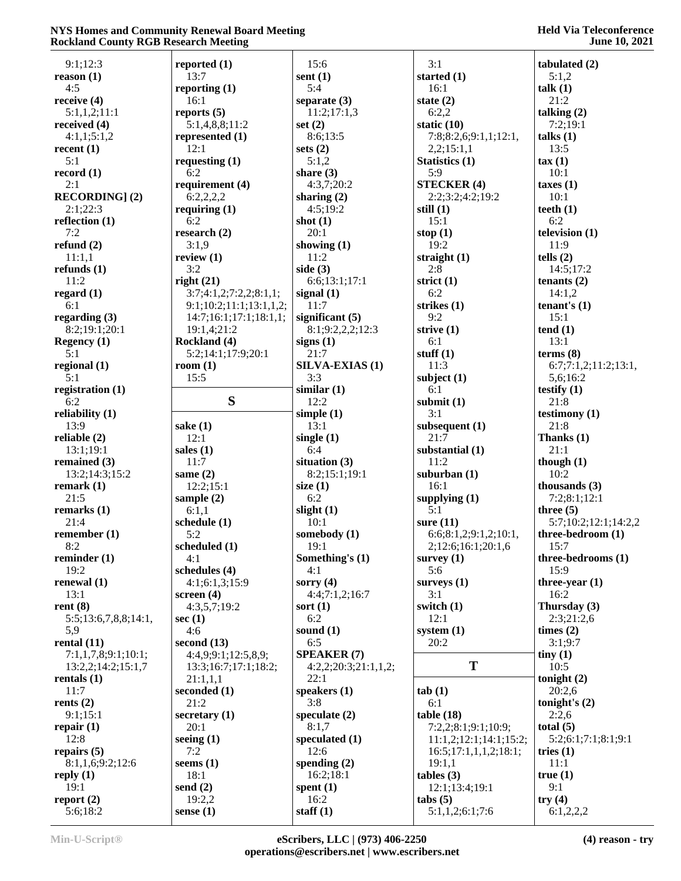| 9:1;12:3                                                                                                                             | reported $(1)$          | 15:6                   | 3:1                               | tabulated (2)        |
|--------------------------------------------------------------------------------------------------------------------------------------|-------------------------|------------------------|-----------------------------------|----------------------|
| reason(1)                                                                                                                            | 13:7                    | sent $(1)$             | started $(1)$                     | 5:1,2                |
|                                                                                                                                      |                         |                        |                                   |                      |
| 4:5                                                                                                                                  | reporting $(1)$         | 5:4                    | 16:1                              | talk(1)              |
| receive $(4)$                                                                                                                        | 16:1                    | separate (3)           | state $(2)$                       | 21:2                 |
| 5:1,1,2;11:1                                                                                                                         | reports $(5)$           | 11:2;17:1,3            | 6:2,2                             | talking $(2)$        |
| received $(4)$                                                                                                                       | 5:1,4,8,8;11:2          | set $(2)$              | static $(10)$                     | 7:2;19:1             |
| 4:1,1;5:1,2                                                                                                                          | represented (1)         | 8:6;13:5               | 7:8;8:2,6;9:1,1;12:1,             | talks(1)             |
| recent (1)                                                                                                                           | 12:1                    | sets $(2)$             | 2,2;15:1,1                        | 13:5                 |
| 5:1                                                                                                                                  | requesting $(1)$        | 5:1,2                  | Statistics (1)                    | $\tan(1)$            |
| record $(1)$                                                                                                                         | 6:2                     | share $(3)$            | 5:9                               | 10:1                 |
|                                                                                                                                      |                         |                        |                                   |                      |
| 2:1                                                                                                                                  | requirement (4)         | 4:3,7;20:2             | <b>STECKER (4)</b>                | taxes(1)             |
| <b>RECORDING</b> ] (2)                                                                                                               | 6:2,2,2,2               | sharing $(2)$          | 2:2;3:2;4:2;19:2                  | 10:1                 |
| 2:1;22:3                                                                                                                             | requiring $(1)$         | 4:5;19:2               | still $(1)$                       | teeth $(1)$          |
| reflection (1)                                                                                                                       | 6:2                     | shot $(1)$             | 15:1                              | 6:2                  |
| 7:2                                                                                                                                  | research $(2)$          | 20:1                   | stop $(1)$                        | television (1)       |
| refund $(2)$                                                                                                                         | 3:1,9                   | showing $(1)$          | 19:2                              | 11:9                 |
| 11:1,1                                                                                                                               | review $(1)$            | 11:2                   | straight $(1)$                    | tells $(2)$          |
| refunds $(1)$                                                                                                                        | 3:2                     | side $(3)$             | 2:8                               | 14:5;17:2            |
| 11:2                                                                                                                                 | right(21)               | 6:6;13:1;17:1          | strict $(1)$                      | tenants $(2)$        |
|                                                                                                                                      |                         |                        |                                   |                      |
| regard $(1)$                                                                                                                         | 3:7;4:1,2;7:2,2;8:1,1;  | signal $(1)$           | 6:2                               | 14:1,2               |
| 6:1                                                                                                                                  | 9:1;10:2;11:1;13:1,1,2; | 11:7                   | strikes $(1)$                     | tenant's $(1)$       |
| regarding $(3)$                                                                                                                      | 14:7;16:1;17:1;18:1,1;  | significant $(5)$      | 9:2                               | 15:1                 |
| 8:2;19:1;20:1                                                                                                                        | 19:1,4;21:2             | 8:1;9:2,2,2;12:3       | strive $(1)$                      | tend(1)              |
| <b>Regency</b> (1)                                                                                                                   | Rockland (4)            | signs $(1)$            | 6:1                               | 13:1                 |
| 5:1                                                                                                                                  | 5:2;14:1;17:9;20:1      | 21:7                   | stuff $(1)$                       | terms <sub>8</sub>   |
| regional (1)                                                                                                                         | room $(1)$              | <b>SILVA-EXIAS (1)</b> | 11:3                              | 6:7;7:1,2;11:2;13:1, |
| 5:1                                                                                                                                  | 15:5                    | 3:3                    | subject $(1)$                     | 5,6;16:2             |
|                                                                                                                                      |                         |                        |                                   |                      |
| registration (1)                                                                                                                     |                         | similar(1)             | 6:1                               | testify $(1)$        |
| 6:2                                                                                                                                  | S                       | 12:2                   | submit $(1)$                      | 21:8                 |
| reliability (1)                                                                                                                      |                         | simple $(1)$           | 3:1                               | testimony $(1)$      |
| 13:9                                                                                                                                 | sake $(1)$              | 13:1                   | subsequent $(1)$                  | 21:8                 |
| reliable (2)                                                                                                                         | 12:1                    | single $(1)$           | 21:7                              | Thanks (1)           |
| 13:1;19:1                                                                                                                            | sales $(1)$             | 6:4                    | substantial (1)                   | 21:1                 |
| remained $(3)$                                                                                                                       | 11:7                    | situation $(3)$        | 11:2                              | though $(1)$         |
| 13:2;14:3;15:2                                                                                                                       | same $(2)$              | 8:2;15:1;19:1          | suburban $(1)$                    | 10:2                 |
|                                                                                                                                      | 12:2;15:1               |                        | 16:1                              | thousands $(3)$      |
| remark $(1)$                                                                                                                         |                         | size $(1)$             |                                   |                      |
| 21:5                                                                                                                                 | sample $(2)$            | 6:2                    | supplying (1)                     | 7:2;8:1;12:1         |
| remarks $(1)$                                                                                                                        | 6:1,1                   | slight $(1)$           | 5:1                               | three $(5)$          |
| 21:4                                                                                                                                 | schedule (1)            | 10:1                   | sure $(11)$                       | 5:7;10:2;12:1;14:2,2 |
| remember $(1)$                                                                                                                       | 5:2                     | somebody (1)           | 6:6;8:1,2;9:1,2;10:1,             | three-bedroom (1)    |
| 8:2                                                                                                                                  | scheduled (1)           | 19:1                   | 2;12:6;16:1;20:1,6                | 15:7                 |
| reminder $(1)$                                                                                                                       | 4:1                     | Something's (1)        | survey $(1)$                      | three-bedrooms (1)   |
| 19:2                                                                                                                                 | schedules (4)           |                        |                                   |                      |
|                                                                                                                                      |                         |                        |                                   |                      |
|                                                                                                                                      |                         | 4:1                    | 5:6                               | 15:9                 |
|                                                                                                                                      | 4:1;6:1,3;15:9          | sorry $(4)$            | surveys $(1)$                     | three-year (1)       |
| 13:1                                                                                                                                 | screen $(4)$            | 4:4;7:1,2;16:7         | 3:1                               | 16:2                 |
|                                                                                                                                      | 4:3,5,7;19:2            | sort $(1)$             | switch $(1)$                      | Thursday (3)         |
| 5:5;13:6,7,8,8;14:1,                                                                                                                 | sec $(1)$               | 6:2                    | 12:1                              | 2:3;21:2,6           |
| 5,9                                                                                                                                  | 4:6                     | sound $(1)$            | system $(1)$                      | times $(2)$          |
|                                                                                                                                      | second $(13)$           | 6:5                    | 20:2                              | 3:1;9:7              |
| 7:1,1,7,8;9:1;10:1;                                                                                                                  | 4:4,9;9:1;12:5,8,9;     | <b>SPEAKER (7)</b>     |                                   | $\text{tiny } (1)$   |
|                                                                                                                                      |                         |                        | T                                 | 10:5                 |
| 13:2,2;14:2;15:1,7                                                                                                                   | 13:3;16:7;17:1;18:2;    | 4:2,2;20:3;21:1,1,2;   |                                   |                      |
|                                                                                                                                      | 21:1,1,1                | 22:1                   |                                   | tonight $(2)$        |
| 11:7                                                                                                                                 | seconded (1)            | speakers $(1)$         | tab(1)                            | 20:2,6               |
|                                                                                                                                      | 21:2                    | 3:8                    | 6:1                               | tonight's $(2)$      |
| 9:1;15:1                                                                                                                             | secretary $(1)$         | speculate $(2)$        | table(18)                         | 2:2,6                |
|                                                                                                                                      | 20:1                    | 8:1,7                  | 7:2,2;8:1;9:1;10:9;               | total $(5)$          |
| 12:8                                                                                                                                 | seeing $(1)$            | speculated $(1)$       | 11:1,2;12:1;14:1;15:2;            | 5:2;6:1;7:1;8:1;9:1  |
|                                                                                                                                      | 7:2                     | 12:6                   | 16:5;17:1,1,1,2;18:1;             | tries $(1)$          |
|                                                                                                                                      |                         |                        |                                   | 11:1                 |
| 8:1,1,6;9:2;12:6                                                                                                                     | seems $(1)$             | spending $(2)$         | 19:1,1                            |                      |
|                                                                                                                                      | 18:1                    | 16:2;18:1              | tables (3)                        | true $(1)$           |
| renewal $(1)$<br>rent $(8)$<br>rental $(11)$<br>rentals $(1)$<br>rents $(2)$<br>repair $(1)$<br>repairs $(5)$<br>reply $(1)$<br>19:1 | send $(2)$              | spent $(1)$            | 12:1;13:4;19:1                    | 9:1                  |
| report $(2)$<br>5:6;18:2                                                                                                             | 19:2,2<br>sense $(1)$   | 16:2<br>staff $(1)$    | ${\rm (tabs)}$<br>5:1,1,2;6:1;7:6 | try(4)<br>6:1,2,2,2  |